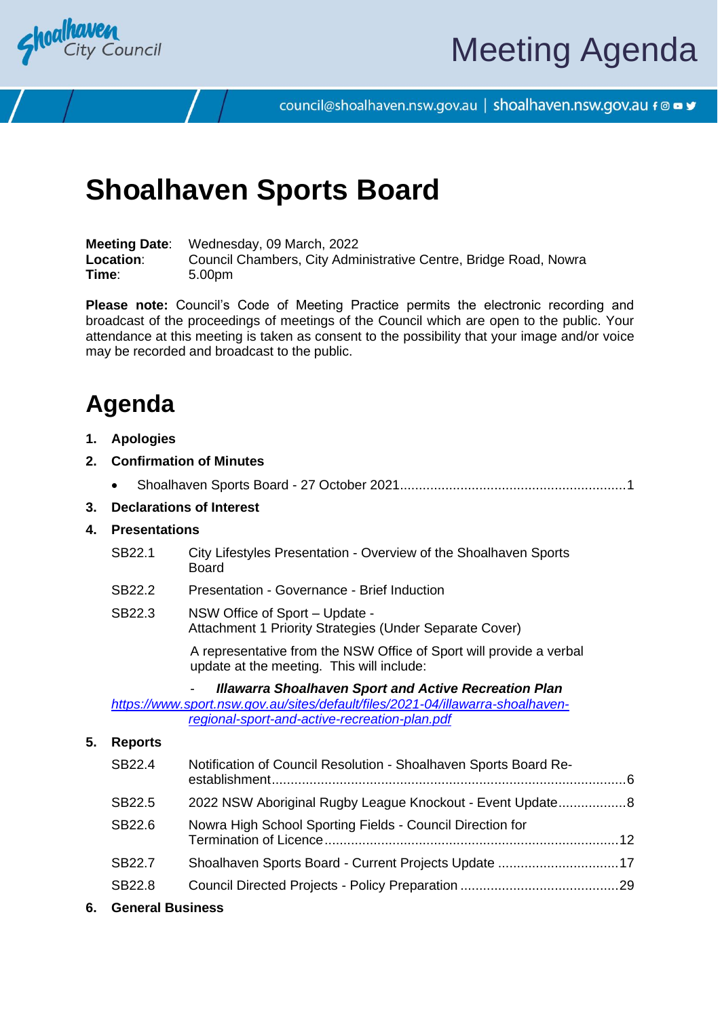

council@shoalhaven.nsw.gov.au | shoalhaven.nsw.gov.au f @ ■ y

## **Shoalhaven Sports Board**

**Meeting Date**: Wednesday, 09 March, 2022 **Location**: Council Chambers, City Administrative Centre, Bridge Road, Nowra **Time**: 5.00pm

**Please note:** Council's Code of Meeting Practice permits the electronic recording and broadcast of the proceedings of meetings of the Council which are open to the public. Your attendance at this meeting is taken as consent to the possibility that your image and/or voice may be recorded and broadcast to the public.

## **Agenda**

**1. Apologies**

#### **2. Confirmation of Minutes**

|  | 3. Declarations of Interest |  |
|--|-----------------------------|--|

#### **4. Presentations**

- SB22.1 City Lifestyles Presentation Overview of the Shoalhaven Sports Board
- SB22.2 Presentation Governance Brief Induction
- SB22.3 NSW Office of Sport Update Attachment 1 Priority Strategies (Under Separate Cover)

A representative from the NSW Office of Sport will provide a verbal update at the meeting. This will include:

- *Illawarra Shoalhaven Sport and Active Recreation Plan* 

*[https://www.sport.nsw.gov.au/sites/default/files/2021-04/illawarra-shoalhaven](https://www.sport.nsw.gov.au/sites/default/files/2021-04/illawarra-shoalhaven-regional-sport-and-active-recreation-plan.pdf)[regional-sport-and-active-recreation-plan.pdf](https://www.sport.nsw.gov.au/sites/default/files/2021-04/illawarra-shoalhaven-regional-sport-and-active-recreation-plan.pdf)*

#### **5. Reports**

| SB22.4             | Notification of Council Resolution - Shoalhaven Sports Board Re- |  |
|--------------------|------------------------------------------------------------------|--|
| SB22.5             | 2022 NSW Aboriginal Rugby League Knockout - Event Update 8       |  |
| SB22.6             | Nowra High School Sporting Fields - Council Direction for        |  |
| SB <sub>22.7</sub> |                                                                  |  |
| SB22.8             |                                                                  |  |
|                    |                                                                  |  |

**6. General Business**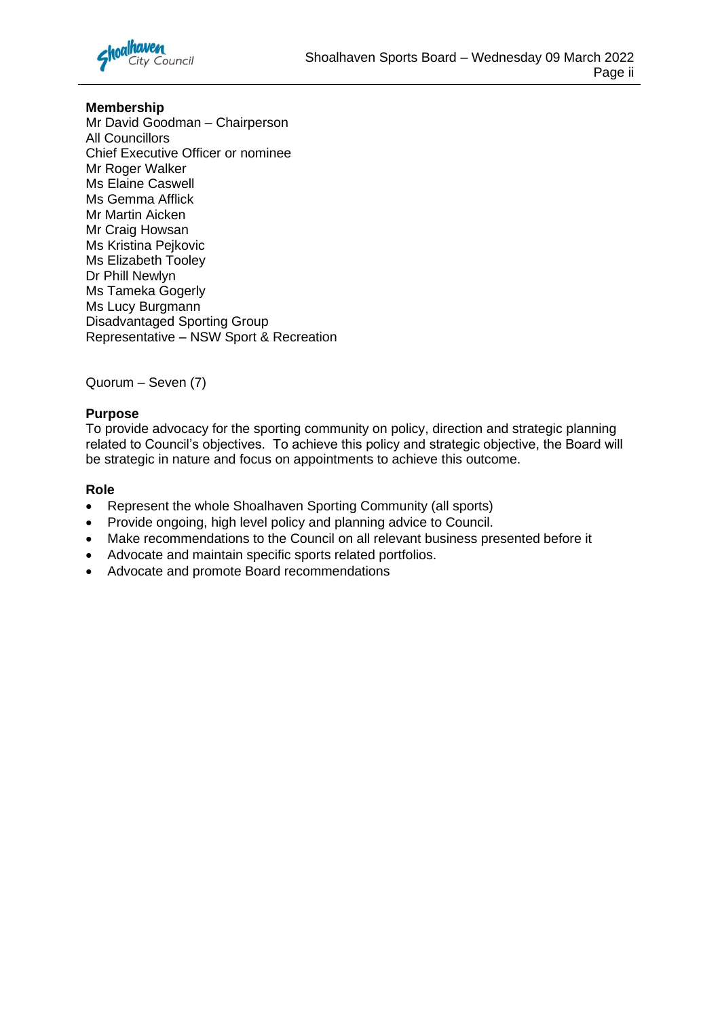

#### **Membership**

Mr David Goodman – Chairperson All Councillors Chief Executive Officer or nominee Mr Roger Walker Ms Elaine Caswell Ms Gemma Afflick Mr Martin Aicken Mr Craig Howsan Ms Kristina Pejkovic Ms Elizabeth Tooley Dr Phill Newlyn Ms Tameka Gogerly Ms Lucy Burgmann Disadvantaged Sporting Group Representative – NSW Sport & Recreation

#### Quorum – Seven (7)

#### **Purpose**

To provide advocacy for the sporting community on policy, direction and strategic planning related to Council's objectives. To achieve this policy and strategic objective, the Board will be strategic in nature and focus on appointments to achieve this outcome.

#### **Role**

- Represent the whole Shoalhaven Sporting Community (all sports)
- Provide ongoing, high level policy and planning advice to Council.
- Make recommendations to the Council on all relevant business presented before it
- Advocate and maintain specific sports related portfolios.
- Advocate and promote Board recommendations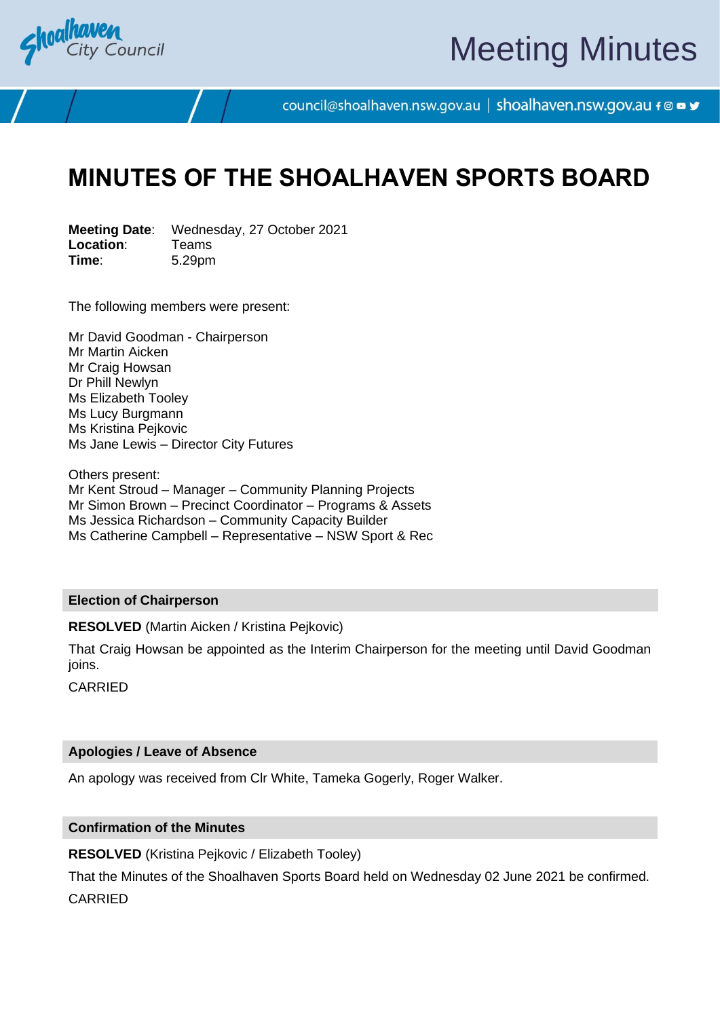<span id="page-2-0"></span>

# Meeting Minutes

council@shoalhaven.nsw.gov.au | shoalhaven.nsw.gov.au f @ ■ y

## **MINUTES OF THE SHOALHAVEN SPORTS BOARD**

**Meeting Date**: Wednesday, 27 October 2021 **Location:** Teams<br> **Time:** 5.29pm **Time**: 5.29pm

The following members were present:

Mr David Goodman - Chairperson Mr Martin Aicken Mr Craig Howsan Dr Phill Newlyn Ms Elizabeth Tooley Ms Lucy Burgmann Ms Kristina Pejkovic Ms Jane Lewis – Director City Futures

Others present: Mr Kent Stroud – Manager – Community Planning Projects Mr Simon Brown – Precinct Coordinator – Programs & Assets Ms Jessica Richardson – Community Capacity Builder Ms Catherine Campbell – Representative – NSW Sport & Rec

#### **Election of Chairperson**

**RESOLVED** (Martin Aicken / Kristina Pejkovic)

That Craig Howsan be appointed as the Interim Chairperson for the meeting until David Goodman ioins.

CARRIED

#### **Apologies / Leave of Absence**

An apology was received from Clr White, Tameka Gogerly, Roger Walker.

#### **Confirmation of the Minutes**

**RESOLVED** (Kristina Pejkovic / Elizabeth Tooley)

That the Minutes of the Shoalhaven Sports Board held on Wednesday 02 June 2021 be confirmed. CARRIED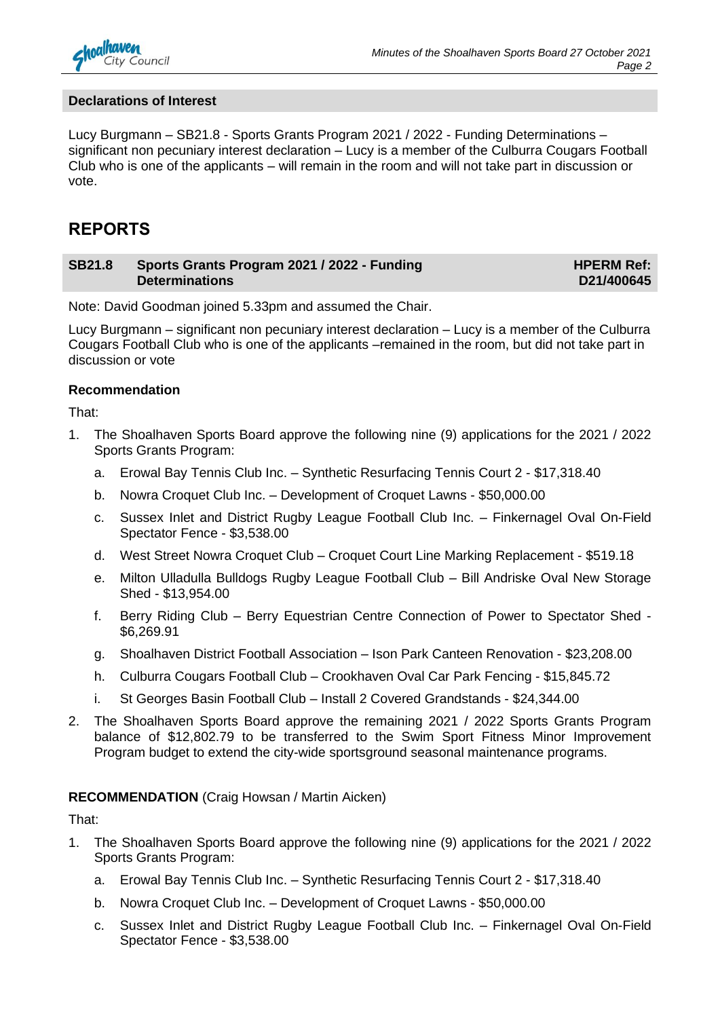

#### **Declarations of Interest**

Lucy Burgmann – SB21.8 - Sports Grants Program 2021 / 2022 - Funding Determinations – significant non pecuniary interest declaration – Lucy is a member of the Culburra Cougars Football Club who is one of the applicants – will remain in the room and will not take part in discussion or vote.

#### **REPORTS**

#### **SB21.8 Sports Grants Program 2021 / 2022 - Funding Determinations**

**HPERM Ref: D21/400645**

Note: David Goodman joined 5.33pm and assumed the Chair.

Lucy Burgmann – significant non pecuniary interest declaration – Lucy is a member of the Culburra Cougars Football Club who is one of the applicants –remained in the room, but did not take part in discussion or vote

#### **Recommendation**

That:

- 1. The Shoalhaven Sports Board approve the following nine (9) applications for the 2021 / 2022 Sports Grants Program:
	- a. Erowal Bay Tennis Club Inc. Synthetic Resurfacing Tennis Court 2 \$17,318.40
	- b. Nowra Croquet Club Inc. Development of Croquet Lawns \$50,000.00
	- c. Sussex Inlet and District Rugby League Football Club Inc. Finkernagel Oval On-Field Spectator Fence - \$3,538.00
	- d. West Street Nowra Croquet Club Croquet Court Line Marking Replacement \$519.18
	- e. Milton Ulladulla Bulldogs Rugby League Football Club Bill Andriske Oval New Storage Shed - \$13,954.00
	- f. Berry Riding Club Berry Equestrian Centre Connection of Power to Spectator Shed \$6,269.91
	- g. Shoalhaven District Football Association Ison Park Canteen Renovation \$23,208.00
	- h. Culburra Cougars Football Club Crookhaven Oval Car Park Fencing \$15,845.72
	- i. St Georges Basin Football Club Install 2 Covered Grandstands \$24,344.00
- 2. The Shoalhaven Sports Board approve the remaining 2021 / 2022 Sports Grants Program balance of \$12,802.79 to be transferred to the Swim Sport Fitness Minor Improvement Program budget to extend the city-wide sportsground seasonal maintenance programs.

#### **RECOMMENDATION** (Craig Howsan / Martin Aicken)

That:

- 1. The Shoalhaven Sports Board approve the following nine (9) applications for the 2021 / 2022 Sports Grants Program:
	- a. Erowal Bay Tennis Club Inc. Synthetic Resurfacing Tennis Court 2 \$17,318.40
	- b. Nowra Croquet Club Inc. Development of Croquet Lawns \$50,000.00
	- c. Sussex Inlet and District Rugby League Football Club Inc. Finkernagel Oval On-Field Spectator Fence - \$3,538.00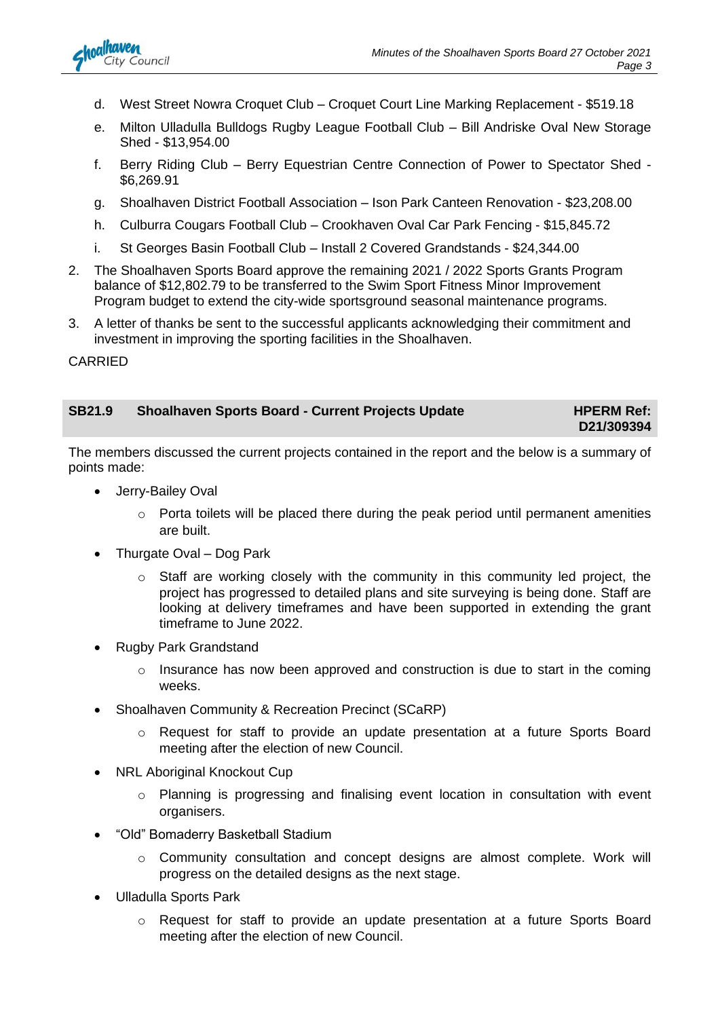

- d. West Street Nowra Croquet Club Croquet Court Line Marking Replacement \$519.18
- e. Milton Ulladulla Bulldogs Rugby League Football Club Bill Andriske Oval New Storage Shed - \$13,954.00
- f. Berry Riding Club Berry Equestrian Centre Connection of Power to Spectator Shed \$6,269.91
- g. Shoalhaven District Football Association Ison Park Canteen Renovation \$23,208.00
- h. Culburra Cougars Football Club Crookhaven Oval Car Park Fencing \$15,845.72
- i. St Georges Basin Football Club Install 2 Covered Grandstands \$24,344.00
- 2. The Shoalhaven Sports Board approve the remaining 2021 / 2022 Sports Grants Program balance of \$12,802.79 to be transferred to the Swim Sport Fitness Minor Improvement Program budget to extend the city-wide sportsground seasonal maintenance programs.
- 3. A letter of thanks be sent to the successful applicants acknowledging their commitment and investment in improving the sporting facilities in the Shoalhaven.

#### CARRIED

| <b>SB21.9</b> | <b>Shoalhaven Sports Board - Current Projects Update</b> | <b>HPERM Ref:</b> |
|---------------|----------------------------------------------------------|-------------------|
|---------------|----------------------------------------------------------|-------------------|

**D21/309394**

The members discussed the current projects contained in the report and the below is a summary of points made:

- Jerry-Bailey Oval
	- $\circ$  Porta toilets will be placed there during the peak period until permanent amenities are built.
- Thurgate Oval Dog Park
	- $\circ$  Staff are working closely with the community in this community led project, the project has progressed to detailed plans and site surveying is being done. Staff are looking at delivery timeframes and have been supported in extending the grant timeframe to June 2022.
- Rugby Park Grandstand
	- $\circ$  Insurance has now been approved and construction is due to start in the coming weeks.
- Shoalhaven Community & Recreation Precinct (SCaRP)
	- o Request for staff to provide an update presentation at a future Sports Board meeting after the election of new Council.
- **NRL Aboriginal Knockout Cup** 
	- o Planning is progressing and finalising event location in consultation with event organisers.
- "Old" Bomaderry Basketball Stadium
	- $\circ$  Community consultation and concept designs are almost complete. Work will progress on the detailed designs as the next stage.
- Ulladulla Sports Park
	- o Request for staff to provide an update presentation at a future Sports Board meeting after the election of new Council.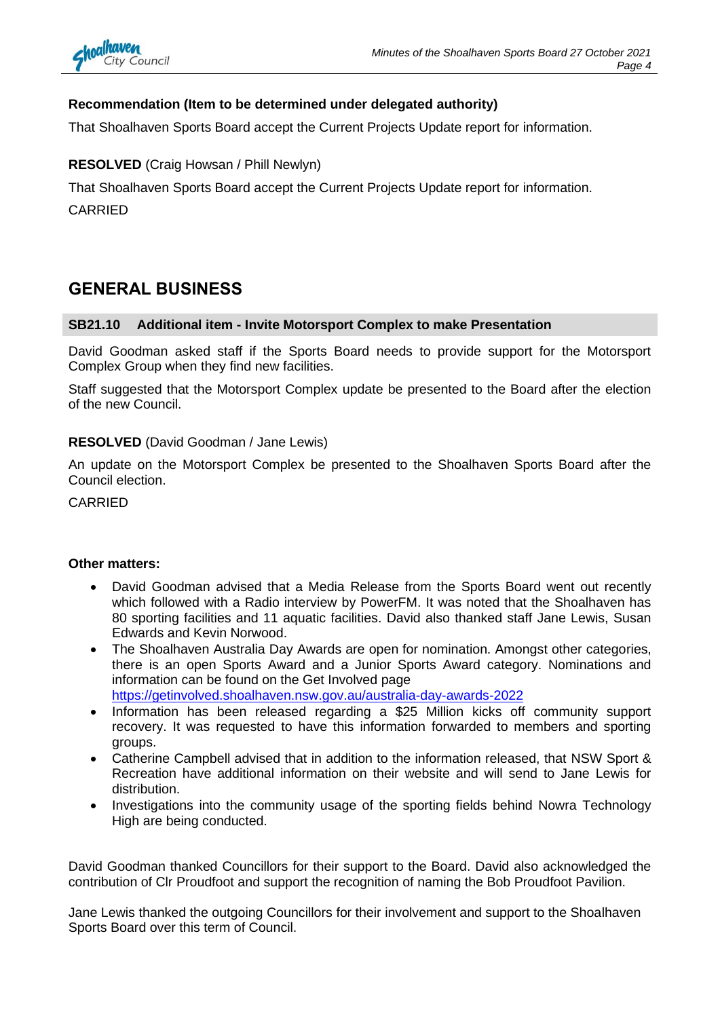

#### **Recommendation (Item to be determined under delegated authority)**

That Shoalhaven Sports Board accept the Current Projects Update report for information.

**RESOLVED** (Craig Howsan / Phill Newlyn)

That Shoalhaven Sports Board accept the Current Projects Update report for information. CARRIED

### **GENERAL BUSINESS**

#### **SB21.10 Additional item - Invite Motorsport Complex to make Presentation**

David Goodman asked staff if the Sports Board needs to provide support for the Motorsport Complex Group when they find new facilities.

Staff suggested that the Motorsport Complex update be presented to the Board after the election of the new Council.

#### **RESOLVED** (David Goodman / Jane Lewis)

An update on the Motorsport Complex be presented to the Shoalhaven Sports Board after the Council election.

CARRIED

#### **Other matters:**

- David Goodman advised that a Media Release from the Sports Board went out recently which followed with a Radio interview by PowerFM. It was noted that the Shoalhaven has 80 sporting facilities and 11 aquatic facilities. David also thanked staff Jane Lewis, Susan Edwards and Kevin Norwood.
- The Shoalhaven Australia Day Awards are open for nomination. Amongst other categories, there is an open Sports Award and a Junior Sports Award category. Nominations and information can be found on the Get Involved page <https://getinvolved.shoalhaven.nsw.gov.au/australia-day-awards-2022>
- Information has been released regarding a \$25 Million kicks off community support recovery. It was requested to have this information forwarded to members and sporting groups.
- Catherine Campbell advised that in addition to the information released, that NSW Sport & Recreation have additional information on their website and will send to Jane Lewis for distribution.
- Investigations into the community usage of the sporting fields behind Nowra Technology High are being conducted.

David Goodman thanked Councillors for their support to the Board. David also acknowledged the contribution of Clr Proudfoot and support the recognition of naming the Bob Proudfoot Pavilion.

Jane Lewis thanked the outgoing Councillors for their involvement and support to the Shoalhaven Sports Board over this term of Council.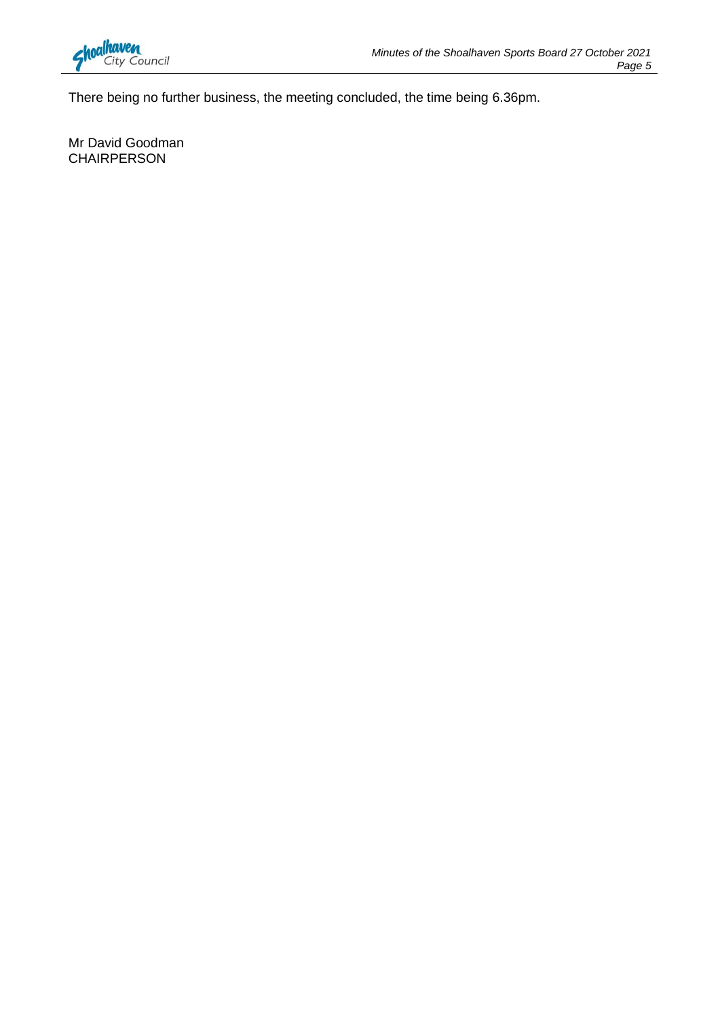

There being no further business, the meeting concluded, the time being 6.36pm.

Mr David Goodman CHAIRPERSON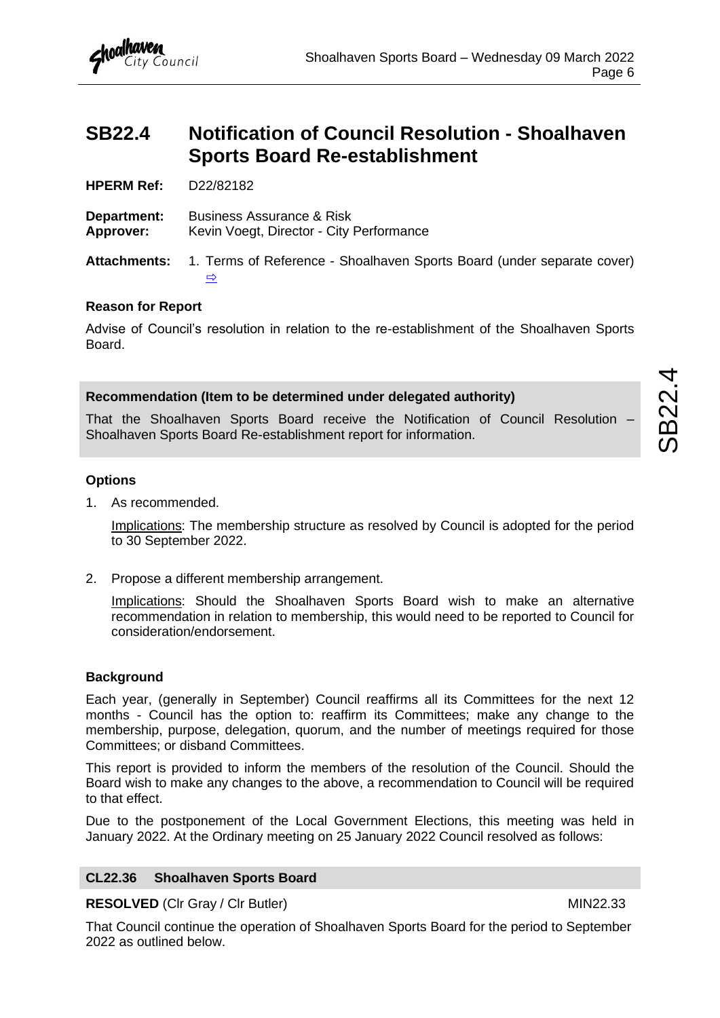<span id="page-7-0"></span>

**HPERM Ref:** D22/82182

City Council

**Department:** Business Assurance & Risk **Approver:** Kevin Voegt, Director - City Performance

**Attachments:** 1. Terms of Reference - Shoalhaven Sports Board (under separate cover) [⇨](../../../RedirectToInvalidFileName.aspx?FileName=SB_20220309_ATT_17519_EXCLUDED.PDF#PAGE=4)

#### **Reason for Report**

Advise of Council's resolution in relation to the re-establishment of the Shoalhaven Sports Board.

#### **Recommendation (Item to be determined under delegated authority)**

That the Shoalhaven Sports Board receive the Notification of Council Resolution – Shoalhaven Sports Board Re-establishment report for information.

#### **Options**

1. As recommended.

Implications: The membership structure as resolved by Council is adopted for the period to 30 September 2022.

2. Propose a different membership arrangement.

Implications: Should the Shoalhaven Sports Board wish to make an alternative recommendation in relation to membership, this would need to be reported to Council for consideration/endorsement.

#### **Background**

Each year, (generally in September) Council reaffirms all its Committees for the next 12 months - Council has the option to: reaffirm its Committees; make any change to the membership, purpose, delegation, quorum, and the number of meetings required for those Committees; or disband Committees.

This report is provided to inform the members of the resolution of the Council. Should the Board wish to make any changes to the above, a recommendation to Council will be required to that effect.

Due to the postponement of the Local Government Elections, this meeting was held in January 2022. At the Ordinary meeting on 25 January 2022 Council resolved as follows:

#### **CL22.36 Shoalhaven Sports Board**

**RESOLVED** (CIr Gray / CIr Butler) MIN22.33

SB22.4

That Council continue the operation of Shoalhaven Sports Board for the period to September 2022 as outlined below.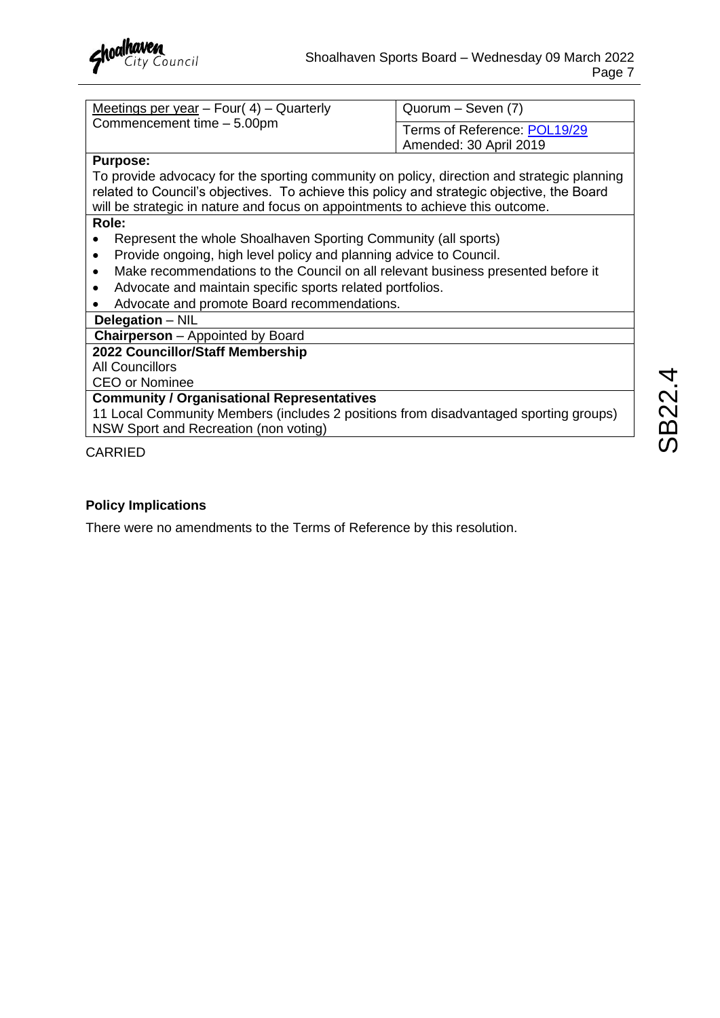

| Meetings per year $-$ Four( 4) $-$ Quarterly | <sup>1</sup> Quorum – Seven (7) |
|----------------------------------------------|---------------------------------|
| Commencement time - 5.00pm                   | Terms of Reference: POL19/29    |
|                                              | Amended: 30 April 2019          |

#### **Purpose:**

To provide advocacy for the sporting community on policy, direction and strategic planning related to Council's objectives. To achieve this policy and strategic objective, the Board will be strategic in nature and focus on appointments to achieve this outcome.

#### **Role:**

- Represent the whole Shoalhaven Sporting Community (all sports)
- Provide ongoing, high level policy and planning advice to Council.
- Make recommendations to the Council on all relevant business presented before it
- Advocate and maintain specific sports related portfolios.
- Advocate and promote Board recommendations.

#### **Delegation** – NIL

**Chairperson** – Appointed by Board

#### **2022 Councillor/Staff Membership**

All Councillors

CEO or Nominee

#### **Community / Organisational Representatives**

11 Local Community Members (includes 2 positions from disadvantaged sporting groups) NSW Sport and Recreation (non voting)

#### CARRIED

#### **Policy Implications**

There were no amendments to the Terms of Reference by this resolution.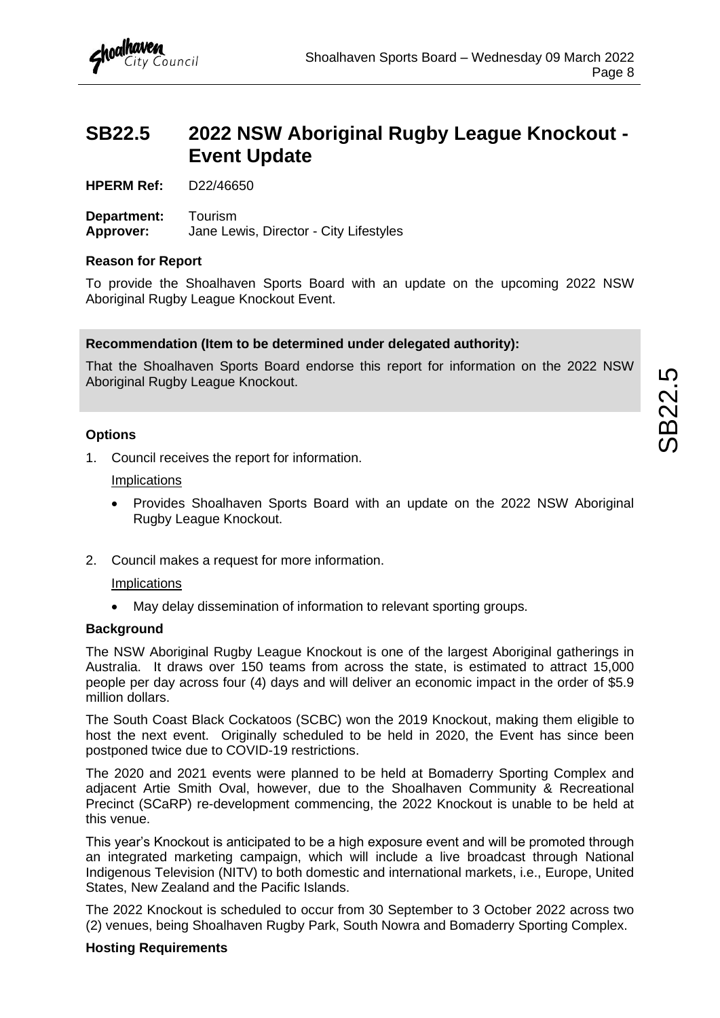## <span id="page-9-0"></span>**SB22.5 2022 NSW Aboriginal Rugby League Knockout - Event Update**

**HPERM Ref:** D22/46650

**Department:** Tourism **Approver:** Jane Lewis, Director - City Lifestyles

#### **Reason for Report**

To provide the Shoalhaven Sports Board with an update on the upcoming 2022 NSW Aboriginal Rugby League Knockout Event.

#### **Recommendation (Item to be determined under delegated authority):**

That the Shoalhaven Sports Board endorse this report for information on the 2022 NSW Aboriginal Rugby League Knockout.

#### **Options**

1. Council receives the report for information.

#### **Implications**

- Provides Shoalhaven Sports Board with an update on the 2022 NSW Aboriginal Rugby League Knockout.
- 2. Council makes a request for more information.

#### **Implications**

May delay dissemination of information to relevant sporting groups.

#### **Background**

The NSW Aboriginal Rugby League Knockout is one of the largest Aboriginal gatherings in Australia. It draws over 150 teams from across the state, is estimated to attract 15,000 people per day across four (4) days and will deliver an economic impact in the order of \$5.9 million dollars.

The South Coast Black Cockatoos (SCBC) won the 2019 Knockout, making them eligible to host the next event. Originally scheduled to be held in 2020, the Event has since been postponed twice due to COVID-19 restrictions.

The 2020 and 2021 events were planned to be held at Bomaderry Sporting Complex and adjacent Artie Smith Oval, however, due to the Shoalhaven Community & Recreational Precinct (SCaRP) re-development commencing, the 2022 Knockout is unable to be held at this venue.

This year's Knockout is anticipated to be a high exposure event and will be promoted through an integrated marketing campaign, which will include a live broadcast through National Indigenous Television (NITV) to both domestic and international markets, i.e., Europe, United States, New Zealand and the Pacific Islands.

The 2022 Knockout is scheduled to occur from 30 September to 3 October 2022 across two (2) venues, being Shoalhaven Rugby Park, South Nowra and Bomaderry Sporting Complex.

#### **Hosting Requirements**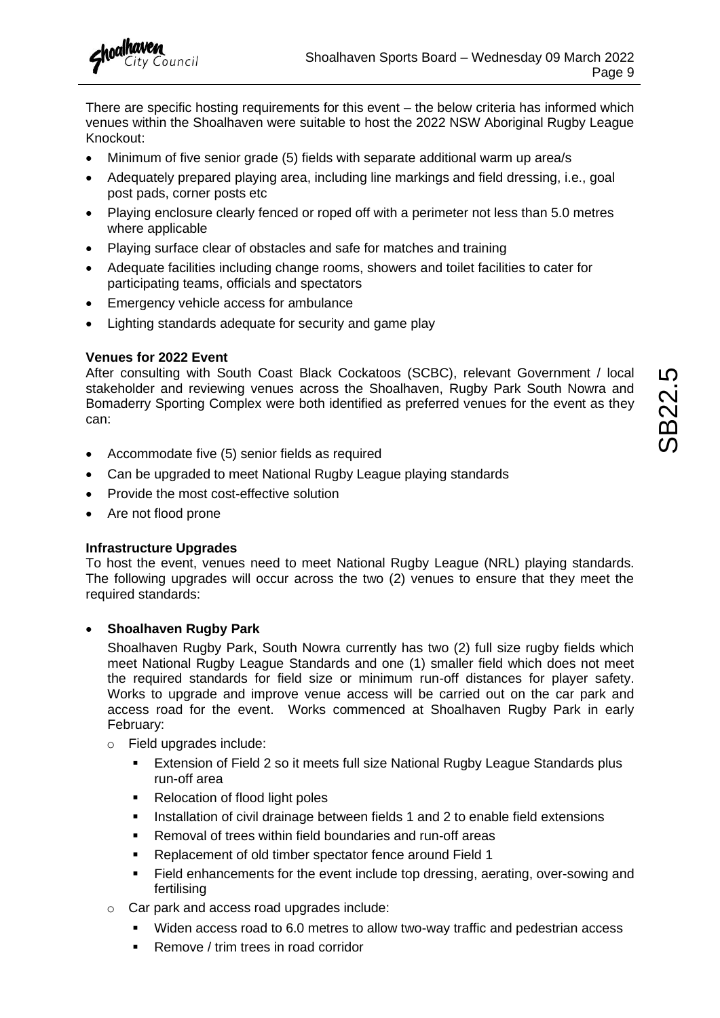There are specific hosting requirements for this event – the below criteria has informed which venues within the Shoalhaven were suitable to host the 2022 NSW Aboriginal Rugby League Knockout:

- Minimum of five senior grade (5) fields with separate additional warm up area/s
- Adequately prepared playing area, including line markings and field dressing, i.e., goal post pads, corner posts etc
- Playing enclosure clearly fenced or roped off with a perimeter not less than 5.0 metres where applicable
- Playing surface clear of obstacles and safe for matches and training
- Adequate facilities including change rooms, showers and toilet facilities to cater for participating teams, officials and spectators
- Emergency vehicle access for ambulance
- Lighting standards adequate for security and game play

#### **Venues for 2022 Event**

After consulting with South Coast Black Cockatoos (SCBC), relevant Government / local stakeholder and reviewing venues across the Shoalhaven, Rugby Park South Nowra and Bomaderry Sporting Complex were both identified as preferred venues for the event as they can:

- Accommodate five (5) senior fields as required
- Can be upgraded to meet National Rugby League playing standards
- Provide the most cost-effective solution
- Are not flood prone

#### **Infrastructure Upgrades**

To host the event, venues need to meet National Rugby League (NRL) playing standards. The following upgrades will occur across the two (2) venues to ensure that they meet the required standards:

#### • **Shoalhaven Rugby Park**

Shoalhaven Rugby Park, South Nowra currently has two (2) full size rugby fields which meet National Rugby League Standards and one (1) smaller field which does not meet the required standards for field size or minimum run-off distances for player safety. Works to upgrade and improve venue access will be carried out on the car park and access road for the event. Works commenced at Shoalhaven Rugby Park in early February:

- o Field upgrades include:
	- Extension of Field 2 so it meets full size National Rugby League Standards plus run-off area
	- Relocation of flood light poles
	- **EXECT** Installation of civil drainage between fields 1 and 2 to enable field extensions
	- Removal of trees within field boundaries and run-off areas
	- Replacement of old timber spectator fence around Field 1
	- Field enhancements for the event include top dressing, aerating, over-sowing and fertilising
- o Car park and access road upgrades include:
	- Widen access road to 6.0 metres to allow two-way traffic and pedestrian access
	- Remove / trim trees in road corridor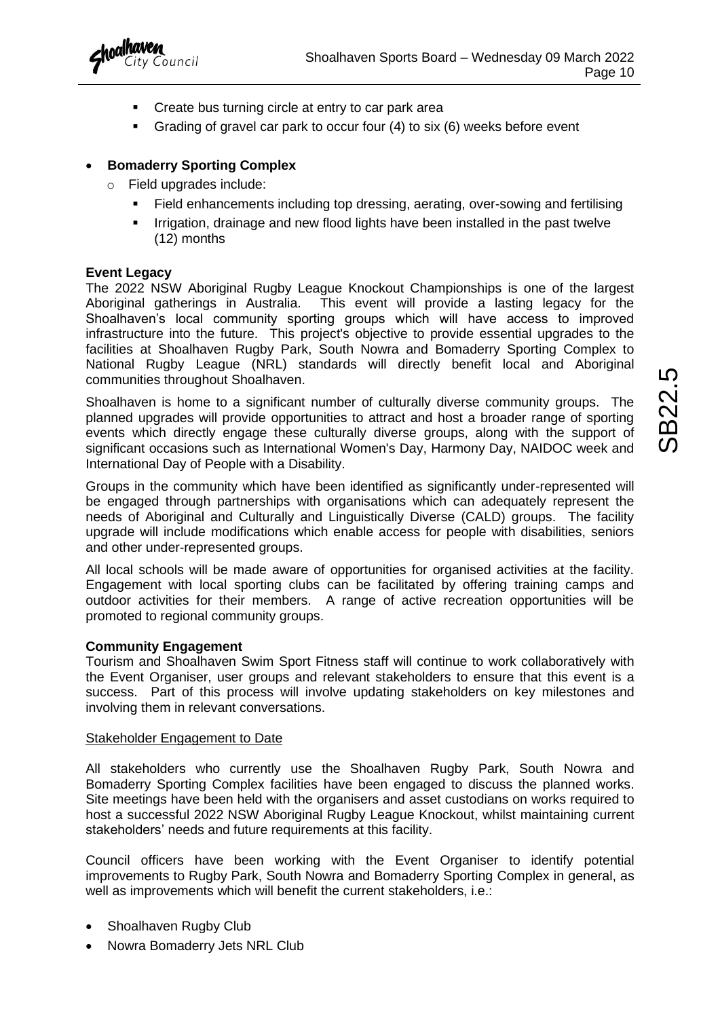

- Create bus turning circle at entry to car park area
- Grading of gravel car park to occur four (4) to six (6) weeks before event

#### • **Bomaderry Sporting Complex**

- o Field upgrades include:
	- Field enhancements including top dressing, aerating, over-sowing and fertilising
	- Irrigation, drainage and new flood lights have been installed in the past twelve (12) months

#### **Event Legacy**

The 2022 NSW Aboriginal Rugby League Knockout Championships is one of the largest Aboriginal gatherings in Australia. This event will provide a lasting legacy for the Shoalhaven's local community sporting groups which will have access to improved infrastructure into the future. This project's objective to provide essential upgrades to the facilities at Shoalhaven Rugby Park, South Nowra and Bomaderry Sporting Complex to National Rugby League (NRL) standards will directly benefit local and Aboriginal communities throughout Shoalhaven.

Shoalhaven is home to a significant number of culturally diverse community groups. The planned upgrades will provide opportunities to attract and host a broader range of sporting events which directly engage these culturally diverse groups, along with the support of significant occasions such as International Women's Day, Harmony Day, NAIDOC week and International Day of People with a Disability.

Groups in the community which have been identified as significantly under-represented will be engaged through partnerships with organisations which can adequately represent the needs of Aboriginal and Culturally and Linguistically Diverse (CALD) groups. The facility upgrade will include modifications which enable access for people with disabilities, seniors and other under-represented groups.

All local schools will be made aware of opportunities for organised activities at the facility. Engagement with local sporting clubs can be facilitated by offering training camps and outdoor activities for their members. A range of active recreation opportunities will be promoted to regional community groups.

#### **Community Engagement**

Tourism and Shoalhaven Swim Sport Fitness staff will continue to work collaboratively with the Event Organiser, user groups and relevant stakeholders to ensure that this event is a success. Part of this process will involve updating stakeholders on key milestones and involving them in relevant conversations.

#### Stakeholder Engagement to Date

All stakeholders who currently use the Shoalhaven Rugby Park, South Nowra and Bomaderry Sporting Complex facilities have been engaged to discuss the planned works. Site meetings have been held with the organisers and asset custodians on works required to host a successful 2022 NSW Aboriginal Rugby League Knockout, whilst maintaining current stakeholders' needs and future requirements at this facility.

Council officers have been working with the Event Organiser to identify potential improvements to Rugby Park, South Nowra and Bomaderry Sporting Complex in general, as well as improvements which will benefit the current stakeholders, i.e.:

- Shoalhaven Rugby Club
- Nowra Bomaderry Jets NRL Club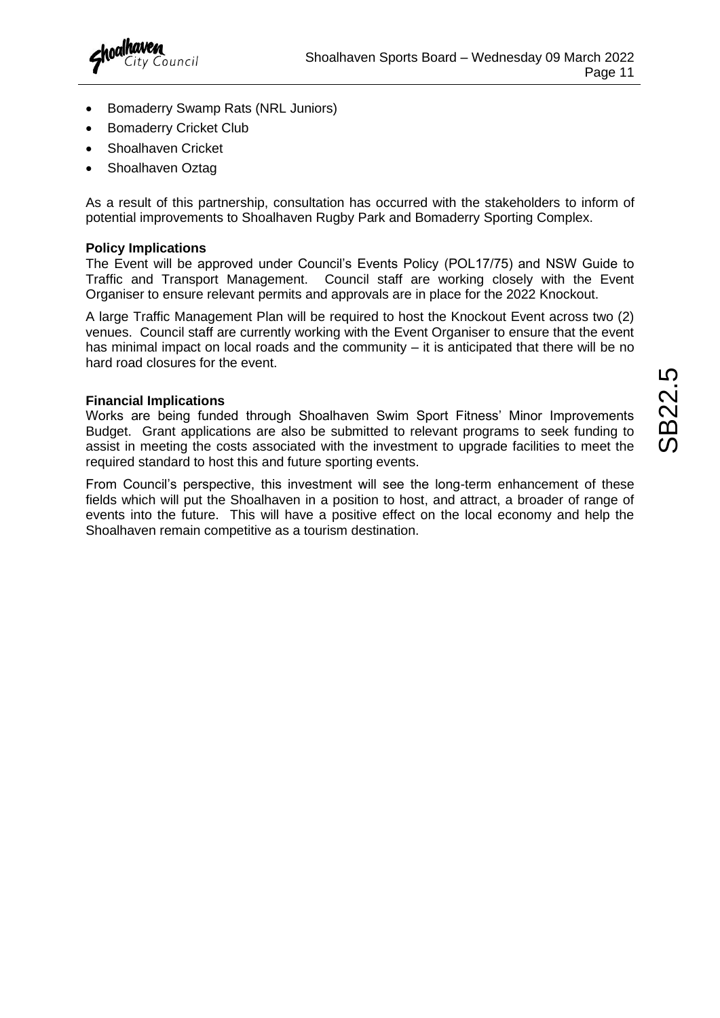

- Bomaderry Swamp Rats (NRL Juniors)
- **Bomaderry Cricket Club**
- Shoalhaven Cricket
- Shoalhaven Oztag

As a result of this partnership, consultation has occurred with the stakeholders to inform of potential improvements to Shoalhaven Rugby Park and Bomaderry Sporting Complex.

#### **Policy Implications**

The Event will be approved under Council's Events Policy (POL17/75) and NSW Guide to Traffic and Transport Management. Council staff are working closely with the Event Organiser to ensure relevant permits and approvals are in place for the 2022 Knockout.

A large Traffic Management Plan will be required to host the Knockout Event across two (2) venues. Council staff are currently working with the Event Organiser to ensure that the event has minimal impact on local roads and the community – it is anticipated that there will be no hard road closures for the event.

#### **Financial Implications**

Works are being funded through Shoalhaven Swim Sport Fitness' Minor Improvements Budget. Grant applications are also be submitted to relevant programs to seek funding to assist in meeting the costs associated with the investment to upgrade facilities to meet the required standard to host this and future sporting events.

From Council's perspective, this investment will see the long-term enhancement of these fields which will put the Shoalhaven in a position to host, and attract, a broader of range of events into the future. This will have a positive effect on the local economy and help the Shoalhaven remain competitive as a tourism destination.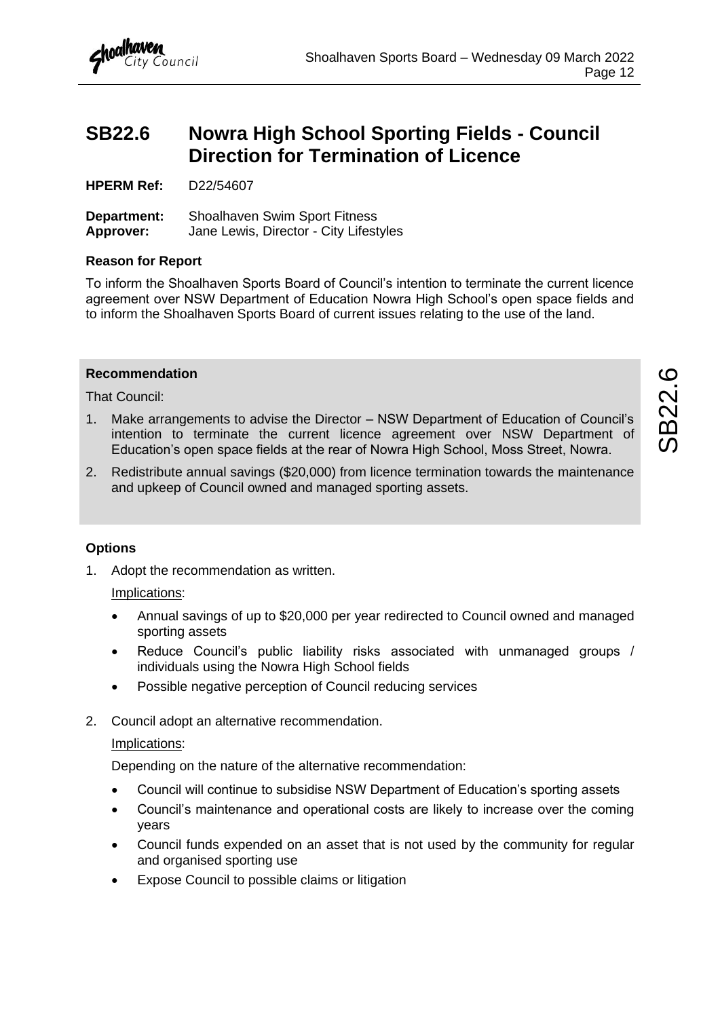## <span id="page-13-0"></span>**SB22.6 Nowra High School Sporting Fields - Council Direction for Termination of Licence**

**HPERM Ref:** D22/54607

**Department:** Shoalhaven Swim Sport Fitness **Approver:** Jane Lewis, Director - City Lifestyles

#### **Reason for Report**

To inform the Shoalhaven Sports Board of Council's intention to terminate the current licence agreement over NSW Department of Education Nowra High School's open space fields and to inform the Shoalhaven Sports Board of current issues relating to the use of the land.

#### **Recommendation**

That Council:

- 1. Make arrangements to advise the Director NSW Department of Education of Council's intention to terminate the current licence agreement over NSW Department of Education's open space fields at the rear of Nowra High School, Moss Street, Nowra.
- 2. Redistribute annual savings (\$20,000) from licence termination towards the maintenance and upkeep of Council owned and managed sporting assets.

#### **Options**

1. Adopt the recommendation as written.

#### Implications:

- Annual savings of up to \$20,000 per year redirected to Council owned and managed sporting assets
- Reduce Council's public liability risks associated with unmanaged groups / individuals using the Nowra High School fields
- Possible negative perception of Council reducing services
- 2. Council adopt an alternative recommendation.

#### Implications:

Depending on the nature of the alternative recommendation:

- Council will continue to subsidise NSW Department of Education's sporting assets
- Council's maintenance and operational costs are likely to increase over the coming years
- Council funds expended on an asset that is not used by the community for regular and organised sporting use
- Expose Council to possible claims or litigation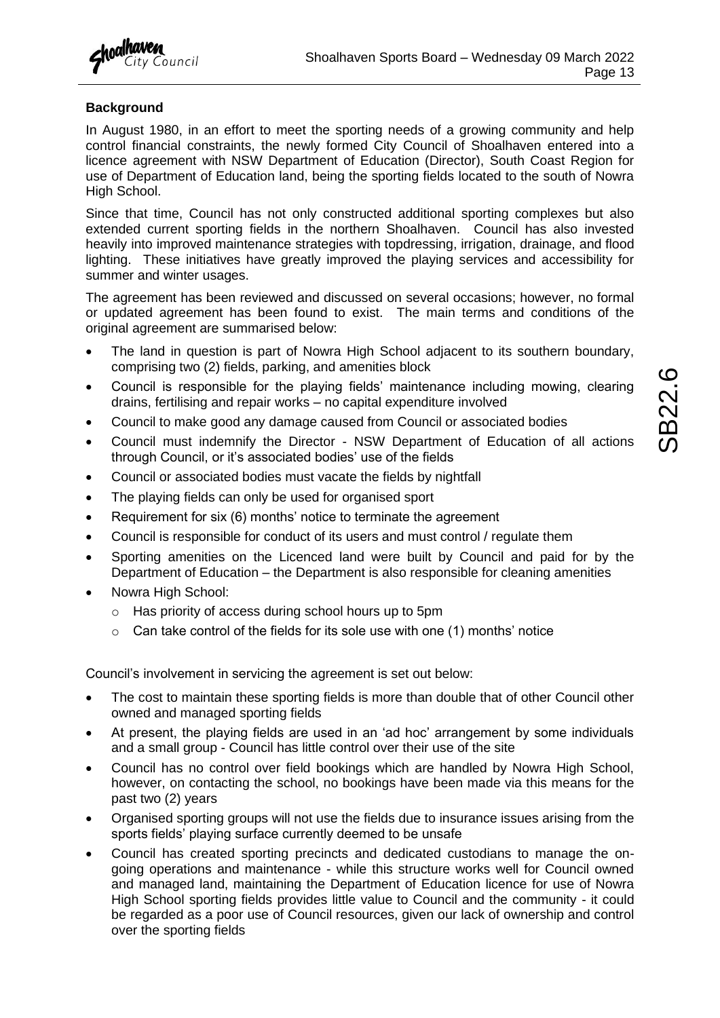

#### **Background**

In August 1980, in an effort to meet the sporting needs of a growing community and help control financial constraints, the newly formed City Council of Shoalhaven entered into a licence agreement with NSW Department of Education (Director), South Coast Region for use of Department of Education land, being the sporting fields located to the south of Nowra High School.

Since that time, Council has not only constructed additional sporting complexes but also extended current sporting fields in the northern Shoalhaven. Council has also invested heavily into improved maintenance strategies with topdressing, irrigation, drainage, and flood lighting. These initiatives have greatly improved the playing services and accessibility for summer and winter usages.

The agreement has been reviewed and discussed on several occasions; however, no formal or updated agreement has been found to exist. The main terms and conditions of the original agreement are summarised below:

- The land in question is part of Nowra High School adjacent to its southern boundary, comprising two (2) fields, parking, and amenities block
- Council is responsible for the playing fields' maintenance including mowing, clearing drains, fertilising and repair works – no capital expenditure involved
- Council to make good any damage caused from Council or associated bodies
- Council must indemnify the Director NSW Department of Education of all actions through Council, or it's associated bodies' use of the fields
- Council or associated bodies must vacate the fields by nightfall
- The playing fields can only be used for organised sport
- Requirement for six (6) months' notice to terminate the agreement
- Council is responsible for conduct of its users and must control / regulate them
- Sporting amenities on the Licenced land were built by Council and paid for by the Department of Education – the Department is also responsible for cleaning amenities
- Nowra High School:
	- o Has priority of access during school hours up to 5pm
	- $\circ$  Can take control of the fields for its sole use with one (1) months' notice

Council's involvement in servicing the agreement is set out below:

- The cost to maintain these sporting fields is more than double that of other Council other owned and managed sporting fields
- At present, the playing fields are used in an 'ad hoc' arrangement by some individuals and a small group - Council has little control over their use of the site
- Council has no control over field bookings which are handled by Nowra High School, however, on contacting the school, no bookings have been made via this means for the past two (2) years
- Organised sporting groups will not use the fields due to insurance issues arising from the sports fields' playing surface currently deemed to be unsafe
- Council has created sporting precincts and dedicated custodians to manage the ongoing operations and maintenance - while this structure works well for Council owned and managed land, maintaining the Department of Education licence for use of Nowra High School sporting fields provides little value to Council and the community - it could be regarded as a poor use of Council resources, given our lack of ownership and control over the sporting fields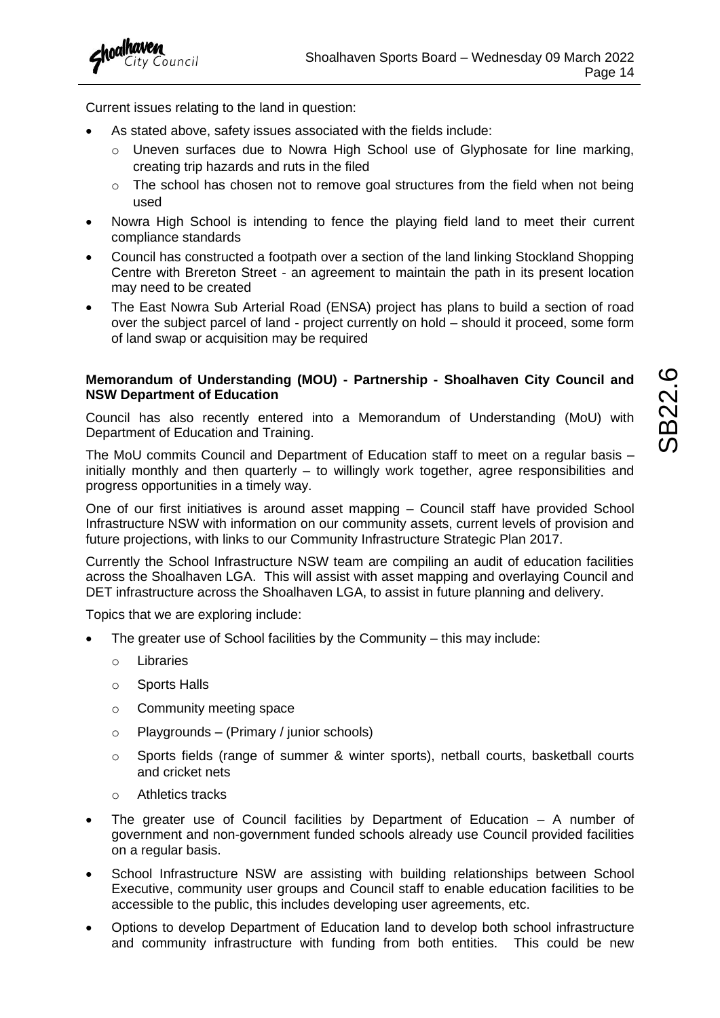

Current issues relating to the land in question:

- As stated above, safety issues associated with the fields include:
	- o Uneven surfaces due to Nowra High School use of Glyphosate for line marking, creating trip hazards and ruts in the filed
	- $\circ$  The school has chosen not to remove goal structures from the field when not being used
- Nowra High School is intending to fence the playing field land to meet their current compliance standards
- Council has constructed a footpath over a section of the land linking Stockland Shopping Centre with Brereton Street - an agreement to maintain the path in its present location may need to be created
- The East Nowra Sub Arterial Road (ENSA) project has plans to build a section of road over the subject parcel of land - project currently on hold – should it proceed, some form of land swap or acquisition may be required

#### **Memorandum of Understanding (MOU) - Partnership - Shoalhaven City Council and NSW Department of Education**

Council has also recently entered into a Memorandum of Understanding (MoU) with Department of Education and Training.

The MoU commits Council and Department of Education staff to meet on a regular basis – initially monthly and then quarterly  $-$  to willingly work together, agree responsibilities and progress opportunities in a timely way.

One of our first initiatives is around asset mapping – Council staff have provided School Infrastructure NSW with information on our community assets, current levels of provision and future projections, with links to our Community Infrastructure Strategic Plan 2017.

Currently the School Infrastructure NSW team are compiling an audit of education facilities across the Shoalhaven LGA. This will assist with asset mapping and overlaying Council and DET infrastructure across the Shoalhaven LGA, to assist in future planning and delivery.

Topics that we are exploring include:

- The greater use of School facilities by the Community this may include:
	- o Libraries
	- o Sports Halls
	- o Community meeting space
	- $\circ$  Playgrounds (Primary / junior schools)
	- $\circ$  Sports fields (range of summer & winter sports), netball courts, basketball courts and cricket nets
	- o Athletics tracks
- The greater use of Council facilities by Department of Education A number of government and non-government funded schools already use Council provided facilities on a regular basis.
- School Infrastructure NSW are assisting with building relationships between School Executive, community user groups and Council staff to enable education facilities to be accessible to the public, this includes developing user agreements, etc.
- Options to develop Department of Education land to develop both school infrastructure and community infrastructure with funding from both entities. This could be new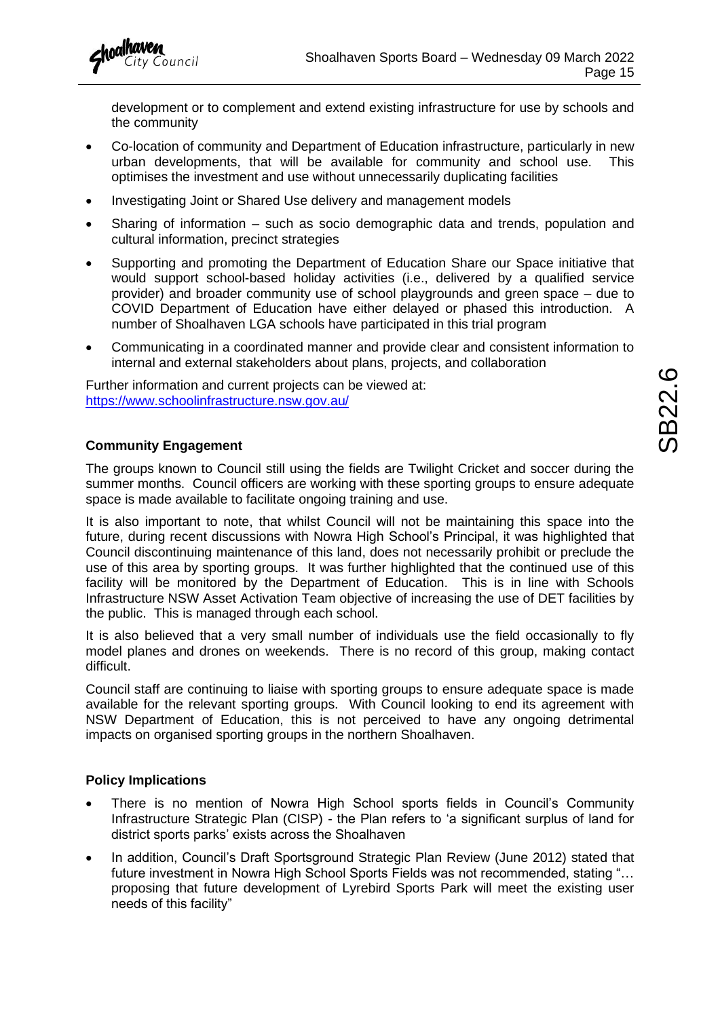

development or to complement and extend existing infrastructure for use by schools and the community

- Co-location of community and Department of Education infrastructure, particularly in new urban developments, that will be available for community and school use. This optimises the investment and use without unnecessarily duplicating facilities
- Investigating Joint or Shared Use delivery and management models
- Sharing of information such as socio demographic data and trends, population and cultural information, precinct strategies
- Supporting and promoting the Department of Education Share our Space initiative that would support school-based holiday activities (i.e., delivered by a qualified service provider) and broader community use of school playgrounds and green space – due to COVID Department of Education have either delayed or phased this introduction. A number of Shoalhaven LGA schools have participated in this trial program
- Communicating in a coordinated manner and provide clear and consistent information to internal and external stakeholders about plans, projects, and collaboration

Further information and current projects can be viewed at: <https://www.schoolinfrastructure.nsw.gov.au/>

#### **Community Engagement**

The groups known to Council still using the fields are Twilight Cricket and soccer during the summer months. Council officers are working with these sporting groups to ensure adequate space is made available to facilitate ongoing training and use.

It is also important to note, that whilst Council will not be maintaining this space into the future, during recent discussions with Nowra High School's Principal, it was highlighted that Council discontinuing maintenance of this land, does not necessarily prohibit or preclude the use of this area by sporting groups. It was further highlighted that the continued use of this facility will be monitored by the Department of Education. This is in line with Schools Infrastructure NSW Asset Activation Team objective of increasing the use of DET facilities by the public. This is managed through each school.

It is also believed that a very small number of individuals use the field occasionally to fly model planes and drones on weekends. There is no record of this group, making contact difficult.

Council staff are continuing to liaise with sporting groups to ensure adequate space is made available for the relevant sporting groups. With Council looking to end its agreement with NSW Department of Education, this is not perceived to have any ongoing detrimental impacts on organised sporting groups in the northern Shoalhaven.

#### **Policy Implications**

- There is no mention of Nowra High School sports fields in Council's Community Infrastructure Strategic Plan (CISP) - the Plan refers to 'a significant surplus of land for district sports parks' exists across the Shoalhaven
- In addition, Council's Draft Sportsground Strategic Plan Review (June 2012) stated that future investment in Nowra High School Sports Fields was not recommended, stating "… proposing that future development of Lyrebird Sports Park will meet the existing user needs of this facility"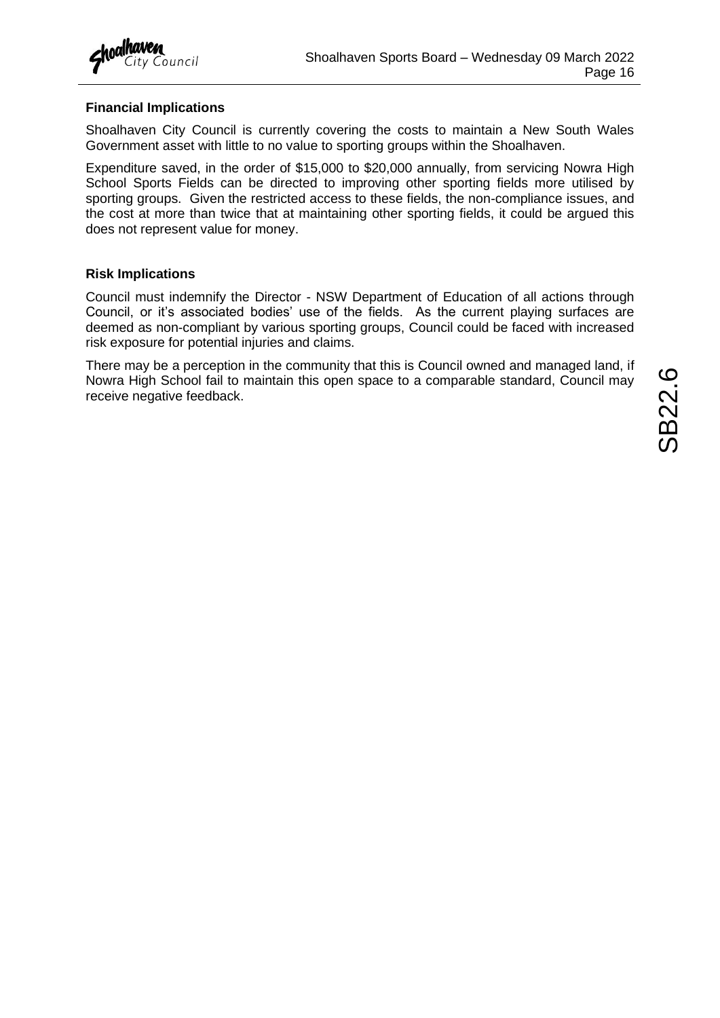

#### **Financial Implications**

Shoalhaven City Council is currently covering the costs to maintain a New South Wales Government asset with little to no value to sporting groups within the Shoalhaven.

Expenditure saved, in the order of \$15,000 to \$20,000 annually, from servicing Nowra High School Sports Fields can be directed to improving other sporting fields more utilised by sporting groups. Given the restricted access to these fields, the non-compliance issues, and the cost at more than twice that at maintaining other sporting fields, it could be argued this does not represent value for money.

#### **Risk Implications**

Council must indemnify the Director - NSW Department of Education of all actions through Council, or it's associated bodies' use of the fields. As the current playing surfaces are deemed as non-compliant by various sporting groups, Council could be faced with increased risk exposure for potential injuries and claims.

There may be a perception in the community that this is Council owned and managed land, if Nowra High School fail to maintain this open space to a comparable standard, Council may receive negative feedback.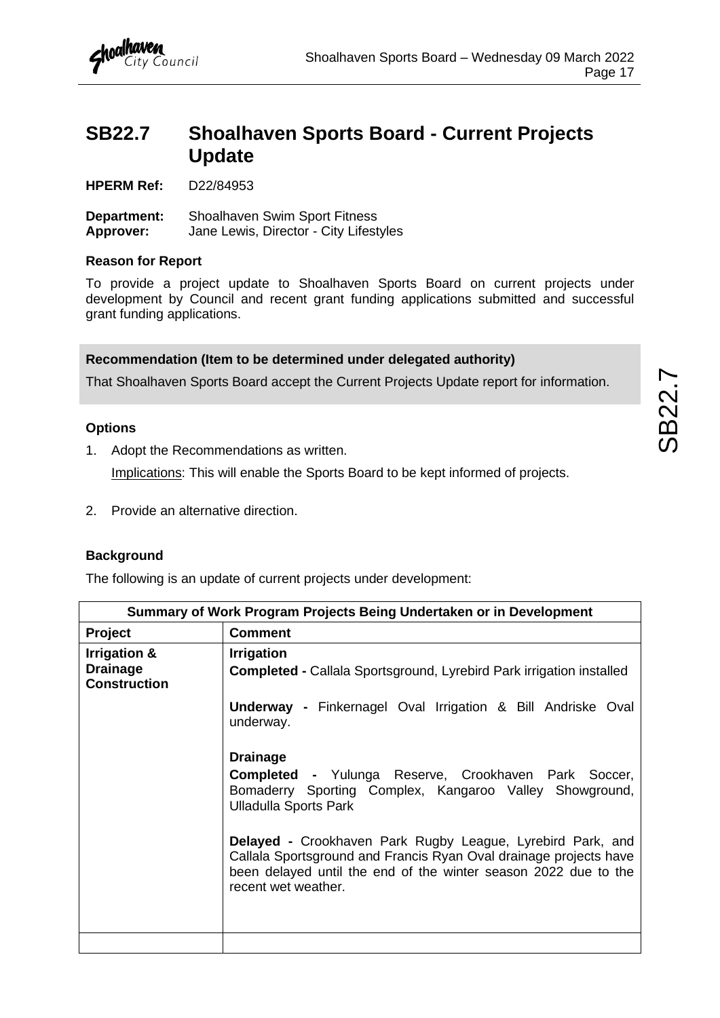

## <span id="page-18-0"></span>**SB22.7 Shoalhaven Sports Board - Current Projects Update**

**HPERM Ref:** D22/84953

**Department:** Shoalhaven Swim Sport Fitness **Approver:** Jane Lewis, Director - City Lifestyles

#### **Reason for Report**

To provide a project update to Shoalhaven Sports Board on current projects under development by Council and recent grant funding applications submitted and successful grant funding applications.

#### **Recommendation (Item to be determined under delegated authority)**

That Shoalhaven Sports Board accept the Current Projects Update report for information.

#### **Options**

1. Adopt the Recommendations as written.

Implications: This will enable the Sports Board to be kept informed of projects.

2. Provide an alternative direction.

#### **Background**

The following is an update of current projects under development:

|                                                        | Summary of Work Program Projects Being Undertaken or in Development                                                                                                                                                              |  |  |  |  |  |  |
|--------------------------------------------------------|----------------------------------------------------------------------------------------------------------------------------------------------------------------------------------------------------------------------------------|--|--|--|--|--|--|
| <b>Comment</b><br><b>Project</b>                       |                                                                                                                                                                                                                                  |  |  |  |  |  |  |
| Irrigation &<br><b>Drainage</b><br><b>Construction</b> | <b>Irrigation</b><br><b>Completed - Callala Sportsground, Lyrebird Park irrigation installed</b>                                                                                                                                 |  |  |  |  |  |  |
|                                                        | <b>Underway - Finkernagel Oval Irrigation &amp; Bill Andriske Oval</b><br>underway.                                                                                                                                              |  |  |  |  |  |  |
|                                                        | <b>Drainage</b><br><b>Completed -</b> Yulunga Reserve, Crookhaven Park Soccer,<br>Bomaderry Sporting Complex, Kangaroo Valley Showground,<br><b>Ulladulla Sports Park</b>                                                        |  |  |  |  |  |  |
|                                                        | <b>Delayed -</b> Crookhaven Park Rugby League, Lyrebird Park, and<br>Callala Sportsground and Francis Ryan Oval drainage projects have<br>been delayed until the end of the winter season 2022 due to the<br>recent wet weather. |  |  |  |  |  |  |
|                                                        |                                                                                                                                                                                                                                  |  |  |  |  |  |  |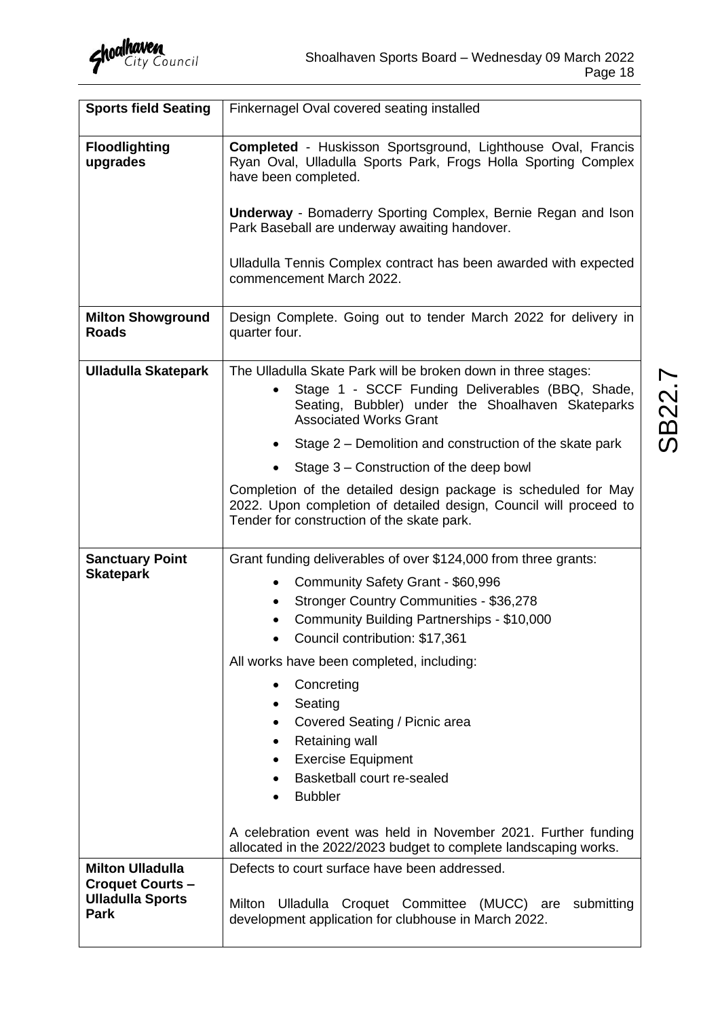

| <b>Sports field Seating</b>                                                                  | Finkernagel Oval covered seating installed                                                                                                                                                                             |  |  |  |  |  |
|----------------------------------------------------------------------------------------------|------------------------------------------------------------------------------------------------------------------------------------------------------------------------------------------------------------------------|--|--|--|--|--|
| <b>Floodlighting</b><br>upgrades                                                             | Completed - Huskisson Sportsground, Lighthouse Oval, Francis<br>Ryan Oval, Ulladulla Sports Park, Frogs Holla Sporting Complex<br>have been completed.<br>Underway - Bomaderry Sporting Complex, Bernie Regan and Ison |  |  |  |  |  |
|                                                                                              | Park Baseball are underway awaiting handover.                                                                                                                                                                          |  |  |  |  |  |
|                                                                                              | Ulladulla Tennis Complex contract has been awarded with expected<br>commencement March 2022.                                                                                                                           |  |  |  |  |  |
| <b>Milton Showground</b><br><b>Roads</b>                                                     | Design Complete. Going out to tender March 2022 for delivery in<br>quarter four.                                                                                                                                       |  |  |  |  |  |
| <b>Ulladulla Skatepark</b>                                                                   | The Ulladulla Skate Park will be broken down in three stages:<br>Stage 1 - SCCF Funding Deliverables (BBQ, Shade,<br>Seating, Bubbler) under the Shoalhaven Skateparks<br><b>Associated Works Grant</b>                |  |  |  |  |  |
|                                                                                              | Stage 2 – Demolition and construction of the skate park                                                                                                                                                                |  |  |  |  |  |
|                                                                                              | Stage 3 – Construction of the deep bowl                                                                                                                                                                                |  |  |  |  |  |
|                                                                                              | Completion of the detailed design package is scheduled for May<br>2022. Upon completion of detailed design, Council will proceed to<br>Tender for construction of the skate park.                                      |  |  |  |  |  |
| <b>Sanctuary Point</b>                                                                       | Grant funding deliverables of over \$124,000 from three grants:                                                                                                                                                        |  |  |  |  |  |
| <b>Skatepark</b>                                                                             | Community Safety Grant - \$60,996<br>$\bullet$<br>Stronger Country Communities - \$36,278<br>$\bullet$<br>Community Building Partnerships - \$10,000<br>Council contribution: \$17,361                                 |  |  |  |  |  |
|                                                                                              | All works have been completed, including:                                                                                                                                                                              |  |  |  |  |  |
|                                                                                              | Concreting<br>Seating<br>$\bullet$<br>Covered Seating / Picnic area<br>Retaining wall<br>$\bullet$<br><b>Exercise Equipment</b><br>Basketball court re-sealed<br><b>Bubbler</b>                                        |  |  |  |  |  |
|                                                                                              | A celebration event was held in November 2021. Further funding<br>allocated in the 2022/2023 budget to complete landscaping works.                                                                                     |  |  |  |  |  |
| <b>Milton Ulladulla</b><br><b>Croquet Courts -</b><br><b>Ulladulla Sports</b><br><b>Park</b> | Defects to court surface have been addressed.<br>Milton Ulladulla Croquet Committee (MUCC)<br>submitting<br>are<br>development application for clubhouse in March 2022.                                                |  |  |  |  |  |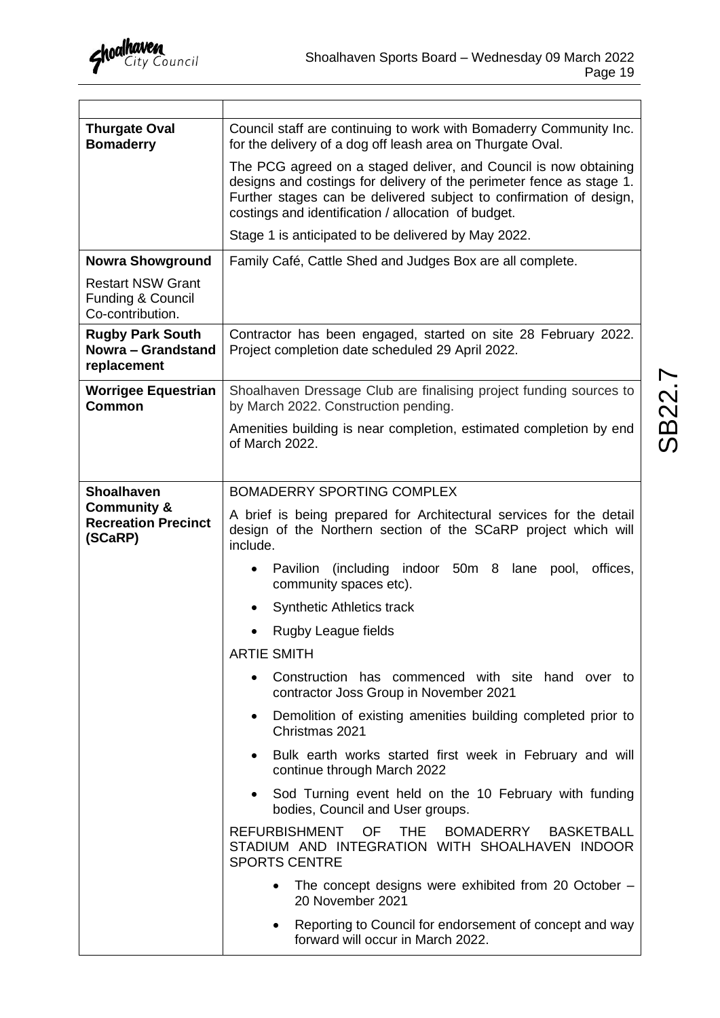| <b>Thurgate Oval</b><br><b>Bomaderry</b>                            | Council staff are continuing to work with Bomaderry Community Inc.<br>for the delivery of a dog off leash area on Thurgate Oval.                                                                                                                                      |  |  |  |  |  |
|---------------------------------------------------------------------|-----------------------------------------------------------------------------------------------------------------------------------------------------------------------------------------------------------------------------------------------------------------------|--|--|--|--|--|
|                                                                     | The PCG agreed on a staged deliver, and Council is now obtaining<br>designs and costings for delivery of the perimeter fence as stage 1.<br>Further stages can be delivered subject to confirmation of design,<br>costings and identification / allocation of budget. |  |  |  |  |  |
|                                                                     | Stage 1 is anticipated to be delivered by May 2022.                                                                                                                                                                                                                   |  |  |  |  |  |
| <b>Nowra Showground</b>                                             | Family Café, Cattle Shed and Judges Box are all complete.                                                                                                                                                                                                             |  |  |  |  |  |
| <b>Restart NSW Grant</b><br>Funding & Council<br>Co-contribution.   |                                                                                                                                                                                                                                                                       |  |  |  |  |  |
| <b>Rugby Park South</b><br><b>Nowra - Grandstand</b><br>replacement | Contractor has been engaged, started on site 28 February 2022.<br>Project completion date scheduled 29 April 2022.                                                                                                                                                    |  |  |  |  |  |
| <b>Worrigee Equestrian</b><br><b>Common</b>                         | Shoalhaven Dressage Club are finalising project funding sources to<br>by March 2022. Construction pending.                                                                                                                                                            |  |  |  |  |  |
|                                                                     | Amenities building is near completion, estimated completion by end<br>of March 2022.                                                                                                                                                                                  |  |  |  |  |  |
|                                                                     |                                                                                                                                                                                                                                                                       |  |  |  |  |  |
| <b>Shoalhaven</b>                                                   | BOMADERRY SPORTING COMPLEX                                                                                                                                                                                                                                            |  |  |  |  |  |
| <b>Community &amp;</b><br><b>Recreation Precinct</b><br>(SCaRP)     | A brief is being prepared for Architectural services for the detail<br>design of the Northern section of the SCaRP project which will<br>include.                                                                                                                     |  |  |  |  |  |
|                                                                     | Pavilion (including indoor 50m 8 lane<br>offices,<br>pool,<br>community spaces etc).                                                                                                                                                                                  |  |  |  |  |  |
|                                                                     | <b>Synthetic Athletics track</b><br>٠                                                                                                                                                                                                                                 |  |  |  |  |  |
|                                                                     | Rugby League fields                                                                                                                                                                                                                                                   |  |  |  |  |  |
|                                                                     | <b>ARTIE SMITH</b>                                                                                                                                                                                                                                                    |  |  |  |  |  |
|                                                                     | Construction has commenced with site hand over to<br>contractor Joss Group in November 2021                                                                                                                                                                           |  |  |  |  |  |
|                                                                     | Demolition of existing amenities building completed prior to<br>Christmas 2021                                                                                                                                                                                        |  |  |  |  |  |
|                                                                     | Bulk earth works started first week in February and will<br>continue through March 2022                                                                                                                                                                               |  |  |  |  |  |
|                                                                     | Sod Turning event held on the 10 February with funding<br>bodies, Council and User groups.                                                                                                                                                                            |  |  |  |  |  |
|                                                                     | <b>REFURBISHMENT</b><br><b>OF</b><br><b>THE</b><br><b>BOMADERRY</b><br><b>BASKETBALL</b><br>STADIUM AND INTEGRATION WITH SHOALHAVEN INDOOR<br><b>SPORTS CENTRE</b>                                                                                                    |  |  |  |  |  |
|                                                                     | The concept designs were exhibited from 20 October -<br>20 November 2021                                                                                                                                                                                              |  |  |  |  |  |
|                                                                     | Reporting to Council for endorsement of concept and way<br>forward will occur in March 2022.                                                                                                                                                                          |  |  |  |  |  |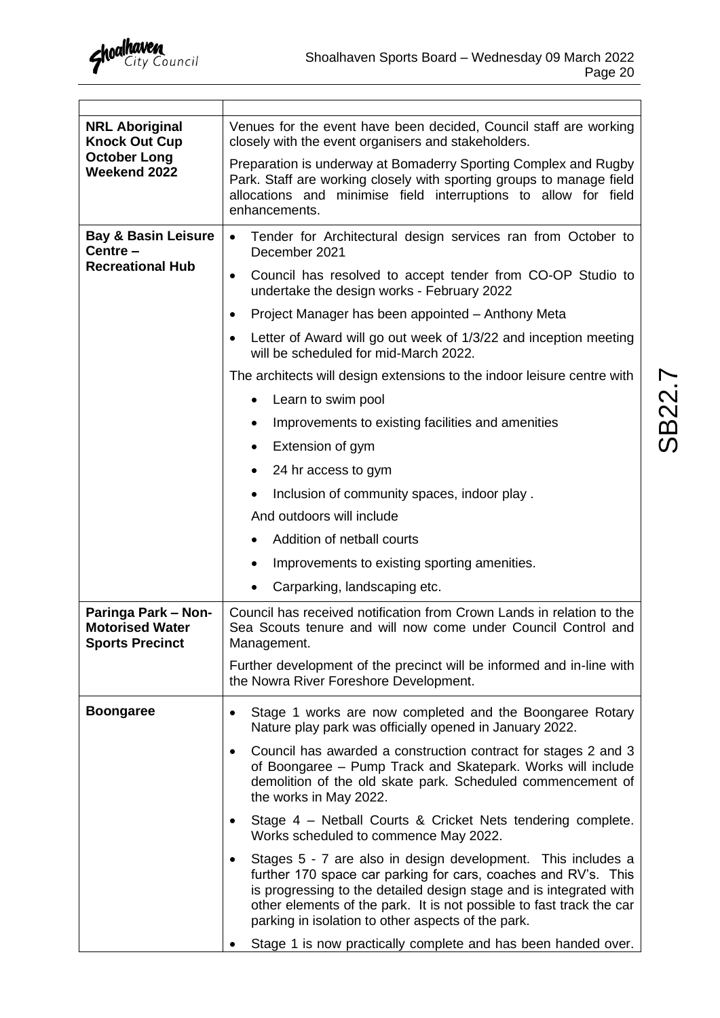

 $\top$ 

 $\Gamma$ 

| <b>NRL Aboriginal</b><br><b>Knock Out Cup</b>                           | Venues for the event have been decided, Council staff are working<br>closely with the event organisers and stakeholders.                                                                                                                                                                                                           |  |  |  |  |  |
|-------------------------------------------------------------------------|------------------------------------------------------------------------------------------------------------------------------------------------------------------------------------------------------------------------------------------------------------------------------------------------------------------------------------|--|--|--|--|--|
| <b>October Long</b><br>Weekend 2022                                     | Preparation is underway at Bomaderry Sporting Complex and Rugby<br>Park. Staff are working closely with sporting groups to manage field<br>allocations and minimise field interruptions to allow for field<br>enhancements.                                                                                                        |  |  |  |  |  |
| <b>Bay &amp; Basin Leisure</b><br>Centre-                               | Tender for Architectural design services ran from October to<br>$\bullet$<br>December 2021                                                                                                                                                                                                                                         |  |  |  |  |  |
| <b>Recreational Hub</b>                                                 | Council has resolved to accept tender from CO-OP Studio to<br>$\bullet$<br>undertake the design works - February 2022                                                                                                                                                                                                              |  |  |  |  |  |
|                                                                         | Project Manager has been appointed - Anthony Meta<br>$\bullet$                                                                                                                                                                                                                                                                     |  |  |  |  |  |
|                                                                         | Letter of Award will go out week of 1/3/22 and inception meeting<br>$\bullet$<br>will be scheduled for mid-March 2022.                                                                                                                                                                                                             |  |  |  |  |  |
|                                                                         | The architects will design extensions to the indoor leisure centre with                                                                                                                                                                                                                                                            |  |  |  |  |  |
|                                                                         | Learn to swim pool                                                                                                                                                                                                                                                                                                                 |  |  |  |  |  |
|                                                                         | Improvements to existing facilities and amenities<br>٠                                                                                                                                                                                                                                                                             |  |  |  |  |  |
|                                                                         | Extension of gym<br>$\bullet$                                                                                                                                                                                                                                                                                                      |  |  |  |  |  |
|                                                                         | 24 hr access to gym<br>$\bullet$                                                                                                                                                                                                                                                                                                   |  |  |  |  |  |
|                                                                         | Inclusion of community spaces, indoor play.                                                                                                                                                                                                                                                                                        |  |  |  |  |  |
|                                                                         | And outdoors will include                                                                                                                                                                                                                                                                                                          |  |  |  |  |  |
|                                                                         | Addition of netball courts<br>$\bullet$                                                                                                                                                                                                                                                                                            |  |  |  |  |  |
|                                                                         | Improvements to existing sporting amenities.<br>٠                                                                                                                                                                                                                                                                                  |  |  |  |  |  |
|                                                                         | Carparking, landscaping etc.<br>٠                                                                                                                                                                                                                                                                                                  |  |  |  |  |  |
| Paringa Park - Non-<br><b>Motorised Water</b><br><b>Sports Precinct</b> | Council has received notification from Crown Lands in relation to the<br>Sea Scouts tenure and will now come under Council Control and<br>Management.                                                                                                                                                                              |  |  |  |  |  |
|                                                                         | Further development of the precinct will be informed and in-line with<br>the Nowra River Foreshore Development.                                                                                                                                                                                                                    |  |  |  |  |  |
| <b>Boongaree</b>                                                        | Stage 1 works are now completed and the Boongaree Rotary<br>$\bullet$<br>Nature play park was officially opened in January 2022.                                                                                                                                                                                                   |  |  |  |  |  |
|                                                                         | Council has awarded a construction contract for stages 2 and 3<br>$\bullet$<br>of Boongaree - Pump Track and Skatepark. Works will include<br>demolition of the old skate park. Scheduled commencement of<br>the works in May 2022.                                                                                                |  |  |  |  |  |
|                                                                         | Stage 4 – Netball Courts & Cricket Nets tendering complete.<br>٠<br>Works scheduled to commence May 2022.                                                                                                                                                                                                                          |  |  |  |  |  |
|                                                                         | Stages 5 - 7 are also in design development. This includes a<br>further 170 space car parking for cars, coaches and RV's. This<br>is progressing to the detailed design stage and is integrated with<br>other elements of the park. It is not possible to fast track the car<br>parking in isolation to other aspects of the park. |  |  |  |  |  |
|                                                                         | Stage 1 is now practically complete and has been handed over.                                                                                                                                                                                                                                                                      |  |  |  |  |  |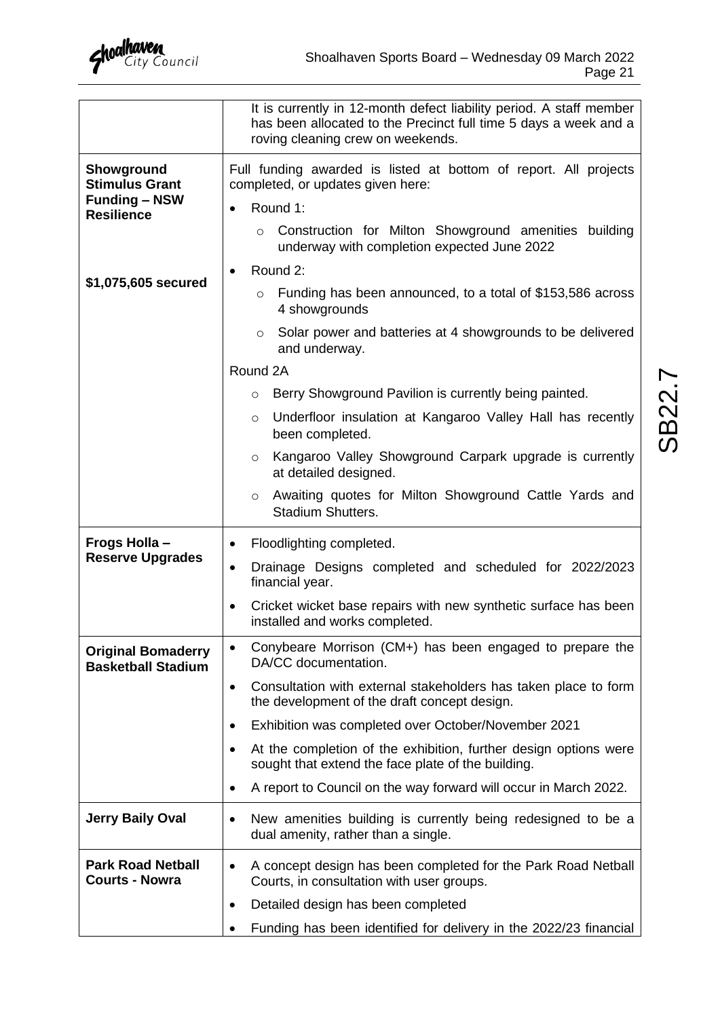

|                                                        | It is currently in 12-month defect liability period. A staff member<br>has been allocated to the Precinct full time 5 days a week and a<br>roving cleaning crew on weekends. |  |  |  |  |  |  |
|--------------------------------------------------------|------------------------------------------------------------------------------------------------------------------------------------------------------------------------------|--|--|--|--|--|--|
| Showground<br><b>Stimulus Grant</b>                    | Full funding awarded is listed at bottom of report. All projects<br>completed, or updates given here:                                                                        |  |  |  |  |  |  |
| <b>Funding - NSW</b><br><b>Resilience</b>              | Round 1:                                                                                                                                                                     |  |  |  |  |  |  |
|                                                        | Construction for Milton Showground amenities building<br>$\circ$<br>underway with completion expected June 2022                                                              |  |  |  |  |  |  |
|                                                        | Round 2:                                                                                                                                                                     |  |  |  |  |  |  |
| \$1,075,605 secured                                    | Funding has been announced, to a total of \$153,586 across<br>$\circ$<br>4 showgrounds                                                                                       |  |  |  |  |  |  |
|                                                        | Solar power and batteries at 4 showgrounds to be delivered<br>$\circ$<br>and underway.                                                                                       |  |  |  |  |  |  |
|                                                        | Round 2A                                                                                                                                                                     |  |  |  |  |  |  |
|                                                        | Berry Showground Pavilion is currently being painted.<br>$\circ$                                                                                                             |  |  |  |  |  |  |
|                                                        | Underfloor insulation at Kangaroo Valley Hall has recently<br>$\circ$<br>been completed.                                                                                     |  |  |  |  |  |  |
|                                                        | Kangaroo Valley Showground Carpark upgrade is currently<br>$\circ$<br>at detailed designed.                                                                                  |  |  |  |  |  |  |
|                                                        | Awaiting quotes for Milton Showground Cattle Yards and<br>$\circ$<br><b>Stadium Shutters.</b>                                                                                |  |  |  |  |  |  |
| Frogs Holla -                                          | Floodlighting completed.<br>٠                                                                                                                                                |  |  |  |  |  |  |
| <b>Reserve Upgrades</b>                                | Drainage Designs completed and scheduled for 2022/2023<br>$\bullet$<br>financial year.                                                                                       |  |  |  |  |  |  |
|                                                        | Cricket wicket base repairs with new synthetic surface has been<br>$\bullet$<br>installed and works completed.                                                               |  |  |  |  |  |  |
| <b>Original Bomaderry</b><br><b>Basketball Stadium</b> | Conybeare Morrison (CM+) has been engaged to prepare the<br>$\bullet$<br>DA/CC documentation.                                                                                |  |  |  |  |  |  |
|                                                        | Consultation with external stakeholders has taken place to form<br>$\bullet$<br>the development of the draft concept design.                                                 |  |  |  |  |  |  |
|                                                        | Exhibition was completed over October/November 2021<br>$\bullet$                                                                                                             |  |  |  |  |  |  |
|                                                        | At the completion of the exhibition, further design options were<br>$\bullet$<br>sought that extend the face plate of the building.                                          |  |  |  |  |  |  |
|                                                        | A report to Council on the way forward will occur in March 2022.<br>٠                                                                                                        |  |  |  |  |  |  |
| <b>Jerry Baily Oval</b>                                | New amenities building is currently being redesigned to be a<br>٠<br>dual amenity, rather than a single.                                                                     |  |  |  |  |  |  |
| <b>Park Road Netball</b><br><b>Courts - Nowra</b>      | A concept design has been completed for the Park Road Netball<br>$\bullet$<br>Courts, in consultation with user groups.                                                      |  |  |  |  |  |  |
|                                                        | Detailed design has been completed<br>٠                                                                                                                                      |  |  |  |  |  |  |
|                                                        | Funding has been identified for delivery in the 2022/23 financial                                                                                                            |  |  |  |  |  |  |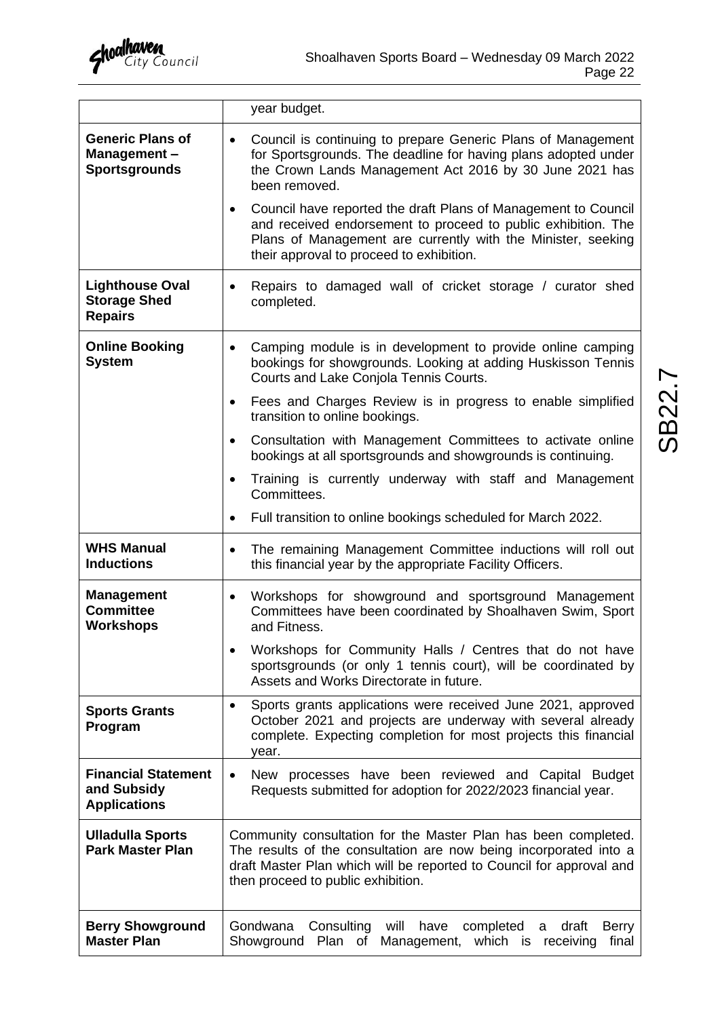|                                                                  | year budget.                                                                                                                                                                                                                                             |  |  |  |  |  |
|------------------------------------------------------------------|----------------------------------------------------------------------------------------------------------------------------------------------------------------------------------------------------------------------------------------------------------|--|--|--|--|--|
| <b>Generic Plans of</b><br>Management-<br><b>Sportsgrounds</b>   | Council is continuing to prepare Generic Plans of Management<br>$\bullet$<br>for Sportsgrounds. The deadline for having plans adopted under<br>the Crown Lands Management Act 2016 by 30 June 2021 has<br>been removed.                                  |  |  |  |  |  |
|                                                                  | Council have reported the draft Plans of Management to Council<br>$\bullet$<br>and received endorsement to proceed to public exhibition. The<br>Plans of Management are currently with the Minister, seeking<br>their approval to proceed to exhibition. |  |  |  |  |  |
| <b>Lighthouse Oval</b><br><b>Storage Shed</b><br><b>Repairs</b>  | Repairs to damaged wall of cricket storage / curator shed<br>$\bullet$<br>completed.                                                                                                                                                                     |  |  |  |  |  |
| <b>Online Booking</b><br><b>System</b>                           | Camping module is in development to provide online camping<br>$\bullet$<br>bookings for showgrounds. Looking at adding Huskisson Tennis<br>Courts and Lake Conjola Tennis Courts.                                                                        |  |  |  |  |  |
|                                                                  | Fees and Charges Review is in progress to enable simplified<br>$\bullet$<br>transition to online bookings.                                                                                                                                               |  |  |  |  |  |
|                                                                  | Consultation with Management Committees to activate online<br>$\bullet$<br>bookings at all sportsgrounds and showgrounds is continuing.                                                                                                                  |  |  |  |  |  |
|                                                                  | Training is currently underway with staff and Management<br>$\bullet$<br>Committees.                                                                                                                                                                     |  |  |  |  |  |
|                                                                  | Full transition to online bookings scheduled for March 2022.<br>$\bullet$                                                                                                                                                                                |  |  |  |  |  |
| <b>WHS Manual</b><br><b>Inductions</b>                           | The remaining Management Committee inductions will roll out<br>$\bullet$<br>this financial year by the appropriate Facility Officers.                                                                                                                    |  |  |  |  |  |
| <b>Management</b><br><b>Committee</b><br><b>Workshops</b>        | Workshops for showground and sportsground Management<br>$\bullet$<br>Committees have been coordinated by Shoalhaven Swim, Sport<br>and Fitness.                                                                                                          |  |  |  |  |  |
|                                                                  | Workshops for Community Halls / Centres that do not have<br>sportsgrounds (or only 1 tennis court), will be coordinated by<br>Assets and Works Directorate in future.                                                                                    |  |  |  |  |  |
| <b>Sports Grants</b><br>Program                                  | Sports grants applications were received June 2021, approved<br>$\bullet$<br>October 2021 and projects are underway with several already<br>complete. Expecting completion for most projects this financial<br>year.                                     |  |  |  |  |  |
| <b>Financial Statement</b><br>and Subsidy<br><b>Applications</b> | New processes have been reviewed and Capital Budget<br>$\bullet$<br>Requests submitted for adoption for 2022/2023 financial year.                                                                                                                        |  |  |  |  |  |
| <b>Ulladulla Sports</b><br><b>Park Master Plan</b>               | Community consultation for the Master Plan has been completed.<br>The results of the consultation are now being incorporated into a<br>draft Master Plan which will be reported to Council for approval and<br>then proceed to public exhibition.        |  |  |  |  |  |
| <b>Berry Showground</b><br><b>Master Plan</b>                    | Gondwana<br>Consulting<br>will<br>have<br>completed<br>draft<br><b>Berry</b><br>a<br>Plan of<br>which is<br>Showground<br>receiving<br>final<br>Management,                                                                                              |  |  |  |  |  |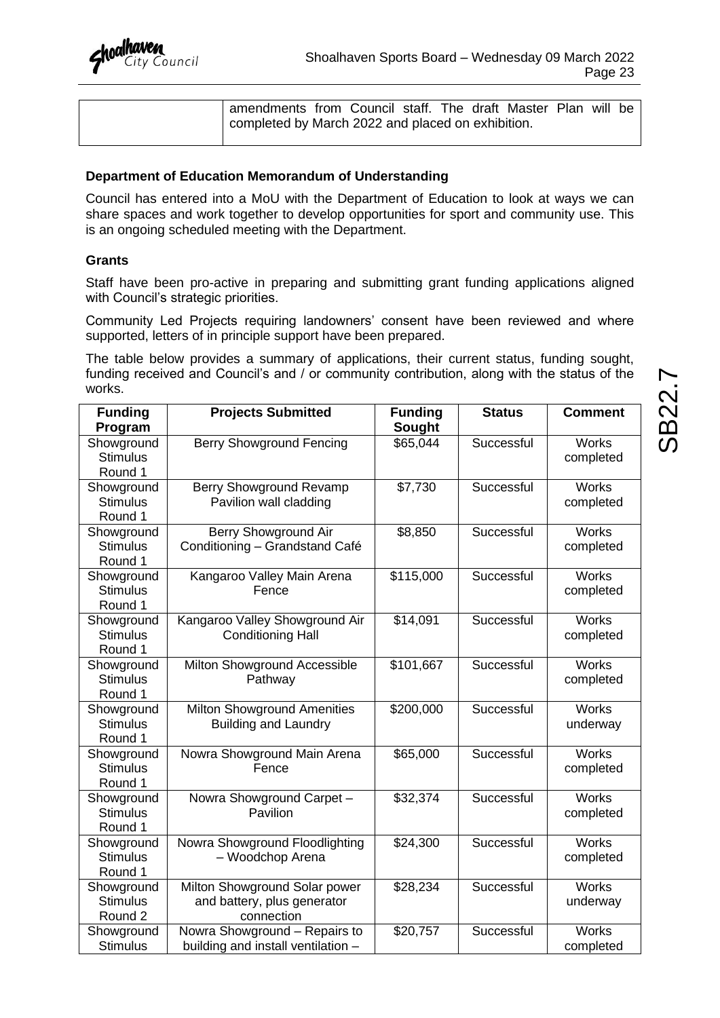| amendments from Council staff. The draft Master Plan will be |  |  |  |  |  |
|--------------------------------------------------------------|--|--|--|--|--|
| completed by March 2022 and placed on exhibition.            |  |  |  |  |  |
|                                                              |  |  |  |  |  |

#### **Department of Education Memorandum of Understanding**

Council has entered into a MoU with the Department of Education to look at ways we can share spaces and work together to develop opportunities for sport and community use. This is an ongoing scheduled meeting with the Department.

#### **Grants**

Staff have been pro-active in preparing and submitting grant funding applications aligned with Council's strategic priorities.

Community Led Projects requiring landowners' consent have been reviewed and where supported, letters of in principle support have been prepared.

The table below provides a summary of applications, their current status, funding sought, funding received and Council's and / or community contribution, along with the status of the works.

| <b>Funding</b>                | <b>Projects Submitted</b>               | <b>Funding</b> | <b>Status</b> | <b>Comment</b>            |
|-------------------------------|-----------------------------------------|----------------|---------------|---------------------------|
| Program                       |                                         | Sought         |               |                           |
| Showground                    | <b>Berry Showground Fencing</b>         |                | Successful    | Works                     |
| <b>Stimulus</b>               |                                         |                |               | completed                 |
| Round 1                       | Berry Showground Revamp                 | \$7,730        | Successful    | Works                     |
| Showground<br><b>Stimulus</b> | Pavilion wall cladding                  |                |               | completed                 |
| Round 1                       |                                         |                |               |                           |
| Showground                    | Berry Showground Air                    | \$8,850        | Successful    | Works                     |
| <b>Stimulus</b>               | Conditioning - Grandstand Café          |                |               | completed                 |
| Round 1                       |                                         |                |               |                           |
| Showground<br><b>Stimulus</b> | Kangaroo Valley Main Arena<br>Fence     | \$115,000      | Successful    | <b>Works</b><br>completed |
| Round 1                       |                                         |                |               |                           |
| Showground                    | Kangaroo Valley Showground Air          | \$14,091       | Successful    | <b>Works</b>              |
| <b>Stimulus</b>               | <b>Conditioning Hall</b>                |                |               | completed                 |
| Round 1                       |                                         |                |               |                           |
| Showground<br><b>Stimulus</b> | Milton Showground Accessible<br>Pathway | \$101,667      | Successful    | <b>Works</b>              |
| Round 1                       |                                         |                |               | completed                 |
| Showground                    | <b>Milton Showground Amenities</b>      | \$200,000      | Successful    | <b>Works</b>              |
| <b>Stimulus</b>               | <b>Building and Laundry</b>             |                |               | underway                  |
| Round 1                       |                                         |                |               |                           |
| Showground                    | Nowra Showground Main Arena             | \$65,000       | Successful    | <b>Works</b>              |
| <b>Stimulus</b><br>Round 1    | Fence                                   |                |               | completed                 |
| Showground                    | Nowra Showground Carpet -               | \$32,374       | Successful    | <b>Works</b>              |
| <b>Stimulus</b>               | Pavilion                                |                |               | completed                 |
| Round 1                       |                                         |                |               |                           |
| Showground                    | Nowra Showground Floodlighting          | \$24,300       | Successful    | <b>Works</b>              |
| <b>Stimulus</b>               | - Woodchop Arena                        |                |               | completed                 |
| Round 1<br>Showground         | Milton Showground Solar power           | \$28,234       | Successful    | <b>Works</b>              |
| <b>Stimulus</b>               | and battery, plus generator             |                |               | underway                  |
| Round 2                       | connection                              |                |               |                           |
| Showground                    | Nowra Showground - Repairs to           | \$20,757       | Successful    | <b>Works</b>              |
| <b>Stimulus</b>               | building and install ventilation -      |                |               | completed                 |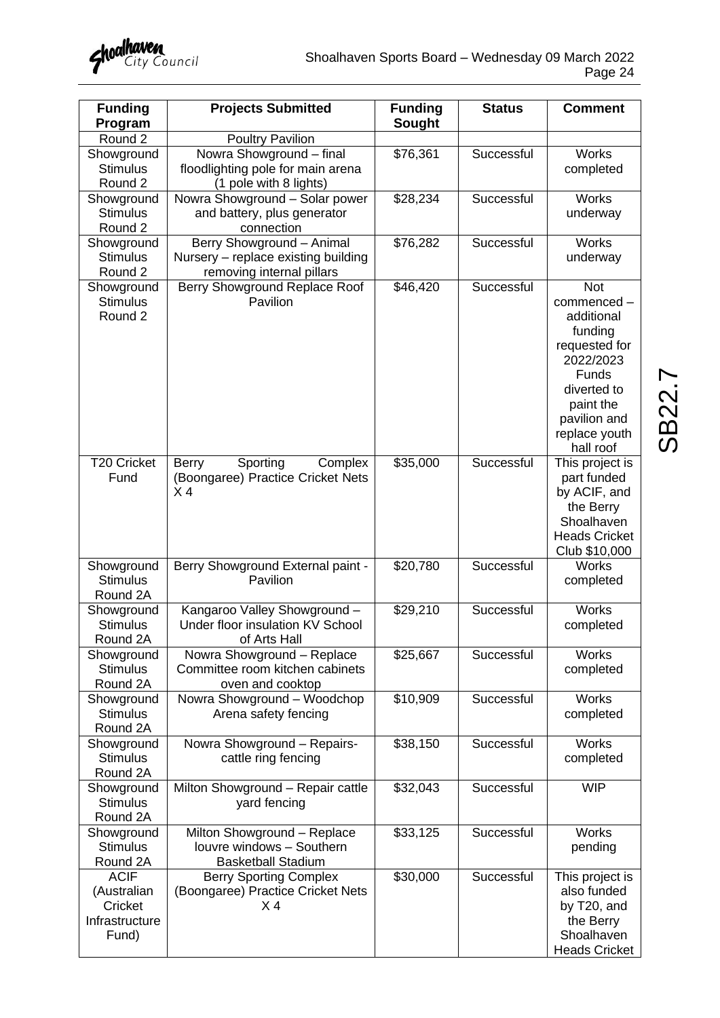

| <b>Funding</b><br>Program                                        | <b>Projects Submitted</b>                                                                     | <b>Funding</b><br>Sought | <b>Status</b> | <b>Comment</b>                                                                                                                                                     |
|------------------------------------------------------------------|-----------------------------------------------------------------------------------------------|--------------------------|---------------|--------------------------------------------------------------------------------------------------------------------------------------------------------------------|
| Round 2                                                          | <b>Poultry Pavilion</b>                                                                       |                          |               |                                                                                                                                                                    |
| Showground<br><b>Stimulus</b><br>Round 2                         | Nowra Showground - final<br>floodlighting pole for main arena<br>(1 pole with 8 lights)       | \$76,361                 | Successful    | <b>Works</b><br>completed                                                                                                                                          |
| Showground<br><b>Stimulus</b><br>Round 2                         | Nowra Showground - Solar power<br>and battery, plus generator<br>connection                   | $\overline{$}28,234$     | Successful    | <b>Works</b><br>underway                                                                                                                                           |
| Showground<br><b>Stimulus</b><br>Round 2                         | Berry Showground - Animal<br>Nursery - replace existing building<br>removing internal pillars | $\overline{$}76,282$     | Successful    | <b>Works</b><br>underway                                                                                                                                           |
| Showground<br><b>Stimulus</b><br>Round 2                         | Berry Showground Replace Roof<br>Pavilion                                                     | \$46,420                 | Successful    | <b>Not</b><br>commenced-<br>additional<br>funding<br>requested for<br>2022/2023<br>Funds<br>diverted to<br>paint the<br>pavilion and<br>replace youth<br>hall roof |
| T20 Cricket<br>Fund                                              | Sporting<br>Complex<br><b>Berry</b><br>(Boongaree) Practice Cricket Nets<br>X <sub>4</sub>    | \$35,000                 | Successful    | This project is<br>part funded<br>by ACIF, and<br>the Berry<br>Shoalhaven<br><b>Heads Cricket</b><br>Club \$10,000                                                 |
| Showground<br><b>Stimulus</b><br>Round 2A                        | Berry Showground External paint -<br>Pavilion                                                 | \$20,780                 | Successful    | Works<br>completed                                                                                                                                                 |
| Showground<br><b>Stimulus</b><br>Round 2A                        | Kangaroo Valley Showground -<br>Under floor insulation KV School<br>of Arts Hall              | \$29,210                 | Successful    | <b>Works</b><br>completed                                                                                                                                          |
| Showground<br><b>Stimulus</b><br>Round 2A                        | Nowra Showground - Replace<br>Committee room kitchen cabinets<br>oven and cooktop             | \$25,667                 | Successful    | <b>Works</b><br>completed                                                                                                                                          |
| Showground<br><b>Stimulus</b><br>Round 2A                        | Nowra Showground - Woodchop<br>Arena safety fencing                                           | \$10,909                 | Successful    | <b>Works</b><br>completed                                                                                                                                          |
| Showground<br><b>Stimulus</b><br>Round 2A                        | Nowra Showground - Repairs-<br>cattle ring fencing                                            | \$38,150                 | Successful    | <b>Works</b><br>completed                                                                                                                                          |
| Showground<br><b>Stimulus</b><br>Round 2A                        | Milton Showground - Repair cattle<br>yard fencing                                             | \$32,043                 | Successful    | <b>WIP</b>                                                                                                                                                         |
| Showground<br><b>Stimulus</b><br>Round 2A                        | Milton Showground - Replace<br>louvre windows - Southern<br><b>Basketball Stadium</b>         | \$33,125                 | Successful    | <b>Works</b><br>pending                                                                                                                                            |
| <b>ACIF</b><br>(Australian<br>Cricket<br>Infrastructure<br>Fund) | <b>Berry Sporting Complex</b><br>(Boongaree) Practice Cricket Nets<br>X <sub>4</sub>          | \$30,000                 | Successful    | This project is<br>also funded<br>by T20, and<br>the Berry<br>Shoalhaven<br><b>Heads Cricket</b>                                                                   |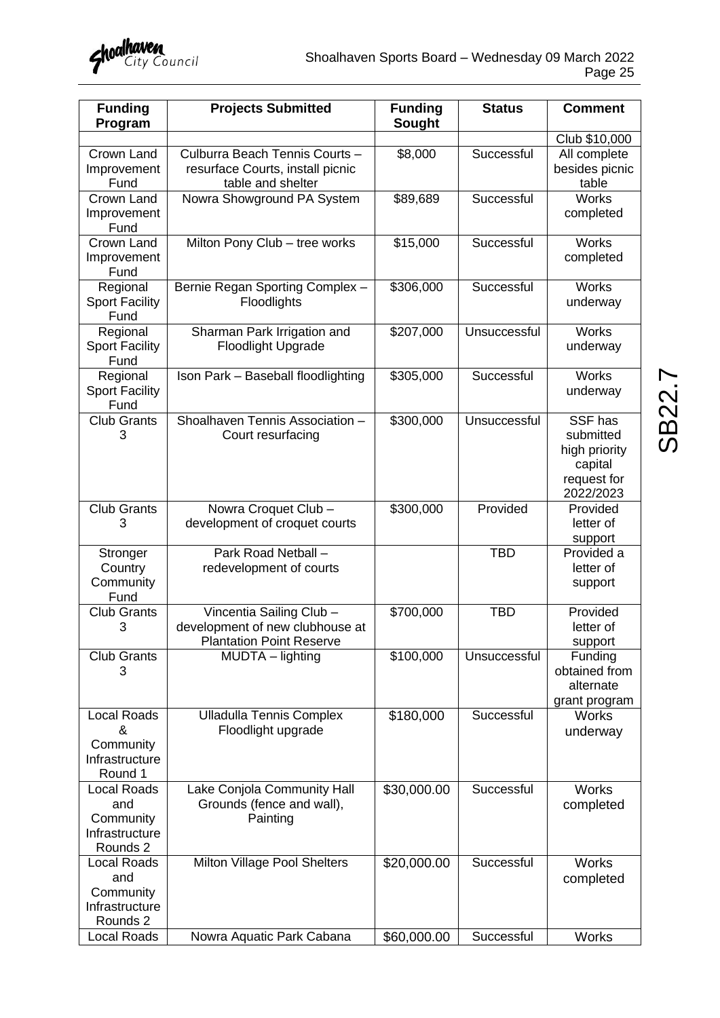| <b>Funding</b><br>Program                                            | <b>Projects Submitted</b>                                                                      | <b>Funding</b><br><b>Sought</b> | <b>Status</b> | <b>Comment</b>                                                               |
|----------------------------------------------------------------------|------------------------------------------------------------------------------------------------|---------------------------------|---------------|------------------------------------------------------------------------------|
|                                                                      |                                                                                                |                                 |               | Club \$10,000                                                                |
| Crown Land<br>Improvement<br>Fund                                    | Culburra Beach Tennis Courts -<br>resurface Courts, install picnic<br>table and shelter        | \$8,000                         | Successful    | All complete<br>besides picnic<br>table                                      |
| Crown Land<br>Improvement<br>Fund                                    | Nowra Showground PA System                                                                     | \$89,689                        | Successful    | <b>Works</b><br>completed                                                    |
| Crown Land<br>Improvement<br>Fund                                    | Milton Pony Club - tree works                                                                  | \$15,000                        | Successful    | Works<br>completed                                                           |
| Regional<br><b>Sport Facility</b><br>Fund                            | Bernie Regan Sporting Complex -<br>Floodlights                                                 | \$306,000                       | Successful    | <b>Works</b><br>underway                                                     |
| Regional<br><b>Sport Facility</b><br>Fund                            | Sharman Park Irrigation and<br><b>Floodlight Upgrade</b>                                       | \$207,000                       | Unsuccessful  | <b>Works</b><br>underway                                                     |
| Regional<br><b>Sport Facility</b><br>Fund                            | Ison Park - Baseball floodlighting                                                             | \$305,000                       | Successful    | <b>Works</b><br>underway                                                     |
| <b>Club Grants</b><br>3                                              | Shoalhaven Tennis Association -<br>Court resurfacing                                           | \$300,000                       | Unsuccessful  | SSF has<br>submitted<br>high priority<br>capital<br>request for<br>2022/2023 |
| <b>Club Grants</b><br>3                                              | Nowra Croquet Club -<br>development of croquet courts                                          | \$300,000                       | Provided      | Provided<br>letter of<br>support                                             |
| Stronger<br>Country<br>Community<br>Fund                             | Park Road Netball -<br>redevelopment of courts                                                 |                                 | <b>TBD</b>    | Provided a<br>letter of<br>support                                           |
| <b>Club Grants</b><br>3                                              | Vincentia Sailing Club -<br>development of new clubhouse at<br><b>Plantation Point Reserve</b> | \$700,000                       | <b>TBD</b>    | Provided<br>letter of<br>support                                             |
| <b>Club Grants</b><br>3                                              | MUDTA - lighting                                                                               | \$100,000                       | Unsuccessful  | Funding<br>obtained from<br>alternate<br>grant program                       |
| <b>Local Roads</b><br>&<br>Community<br>Infrastructure<br>Round 1    | <b>Ulladulla Tennis Complex</b><br>Floodlight upgrade                                          | \$180,000                       | Successful    | <b>Works</b><br>underway                                                     |
| <b>Local Roads</b><br>and<br>Community<br>Infrastructure<br>Rounds 2 | Lake Conjola Community Hall<br>Grounds (fence and wall),<br>Painting                           | \$30,000.00                     | Successful    | <b>Works</b><br>completed                                                    |
| <b>Local Roads</b><br>and<br>Community<br>Infrastructure<br>Rounds 2 | Milton Village Pool Shelters                                                                   | \$20,000.00                     | Successful    | <b>Works</b><br>completed                                                    |
| Local Roads                                                          | Nowra Aquatic Park Cabana                                                                      | \$60,000.00                     | Successful    | <b>Works</b>                                                                 |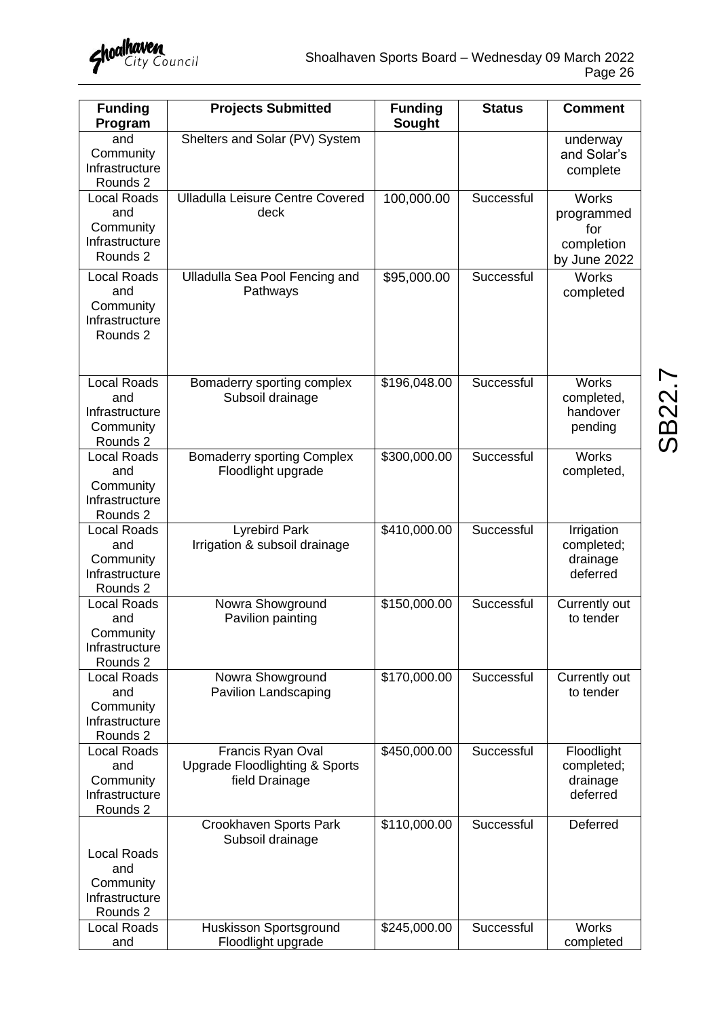

| <b>Funding</b><br>Program                                            | <b>Projects Submitted</b>                                                        | <b>Funding</b><br>Sought | <b>Status</b> | <b>Comment</b>                                                  |
|----------------------------------------------------------------------|----------------------------------------------------------------------------------|--------------------------|---------------|-----------------------------------------------------------------|
| and<br>Community<br>Infrastructure<br>Rounds 2                       | Shelters and Solar (PV) System                                                   |                          |               | underway<br>and Solar's<br>complete                             |
| <b>Local Roads</b><br>and<br>Community<br>Infrastructure<br>Rounds 2 | <b>Ulladulla Leisure Centre Covered</b><br>deck                                  | 100,000.00               | Successful    | <b>Works</b><br>programmed<br>for<br>completion<br>by June 2022 |
| <b>Local Roads</b><br>and<br>Community<br>Infrastructure<br>Rounds 2 | Ulladulla Sea Pool Fencing and<br>Pathways                                       | \$95,000.00              | Successful    | <b>Works</b><br>completed                                       |
| <b>Local Roads</b><br>and<br>Infrastructure<br>Community<br>Rounds 2 | Bomaderry sporting complex<br>Subsoil drainage                                   | \$196,048.00             | Successful    | <b>Works</b><br>completed,<br>handover<br>pending               |
| <b>Local Roads</b><br>and<br>Community<br>Infrastructure<br>Rounds 2 | <b>Bomaderry sporting Complex</b><br>Floodlight upgrade                          | \$300,000.00             | Successful    | <b>Works</b><br>completed,                                      |
| <b>Local Roads</b><br>and<br>Community<br>Infrastructure<br>Rounds 2 | <b>Lyrebird Park</b><br>Irrigation & subsoil drainage                            | \$410,000.00             | Successful    | Irrigation<br>completed;<br>drainage<br>deferred                |
| <b>Local Roads</b><br>and<br>Community<br>Infrastructure<br>Rounds 2 | Nowra Showground<br>Pavilion painting                                            | \$150,000.00             | Successful    | Currently out<br>to tender                                      |
| <b>Local Roads</b><br>and<br>Community<br>Infrastructure<br>Rounds 2 | Nowra Showground<br>Pavilion Landscaping                                         | \$170,000.00             | Successful    | Currently out<br>to tender                                      |
| <b>Local Roads</b><br>and<br>Community<br>Infrastructure<br>Rounds 2 | Francis Ryan Oval<br><b>Upgrade Floodlighting &amp; Sports</b><br>field Drainage | \$450,000.00             | Successful    | Floodlight<br>completed;<br>drainage<br>deferred                |
| <b>Local Roads</b><br>and<br>Community<br>Infrastructure<br>Rounds 2 | Crookhaven Sports Park<br>Subsoil drainage                                       | \$110,000.00             | Successful    | Deferred                                                        |
| <b>Local Roads</b><br>and                                            | Huskisson Sportsground<br>Floodlight upgrade                                     | \$245,000.00             | Successful    | <b>Works</b><br>completed                                       |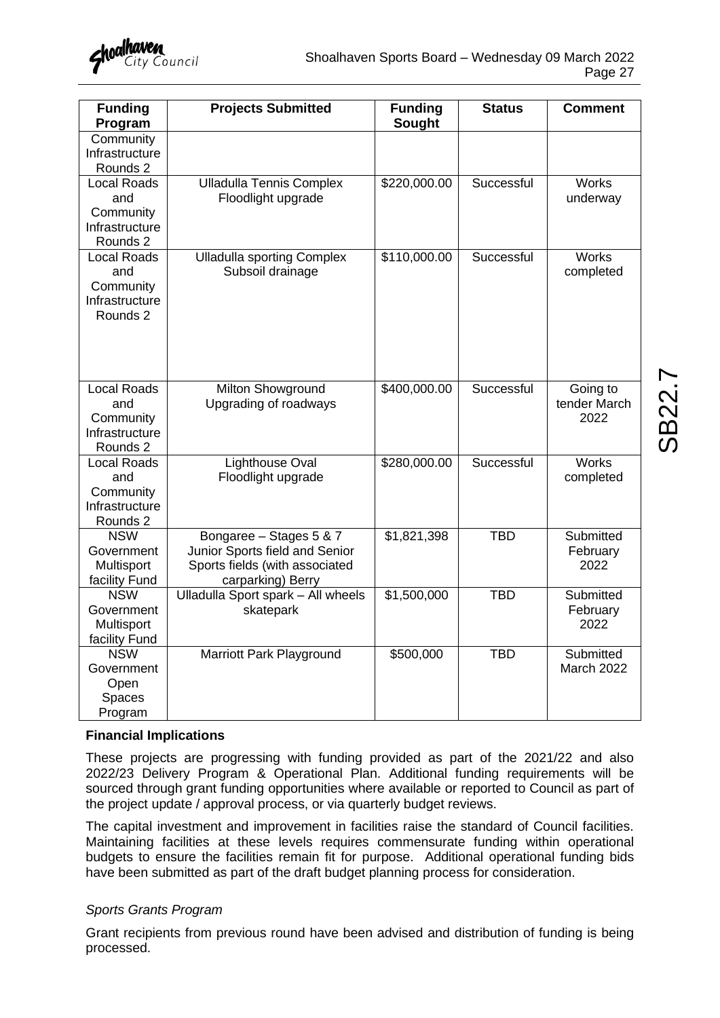| <b>Funding</b><br>Program                                            | <b>Projects Submitted</b>                                                                                        | <b>Funding</b><br><b>Sought</b> | <b>Status</b> | <b>Comment</b>                   |
|----------------------------------------------------------------------|------------------------------------------------------------------------------------------------------------------|---------------------------------|---------------|----------------------------------|
| Community<br>Infrastructure<br>Rounds 2                              |                                                                                                                  |                                 |               |                                  |
| <b>Local Roads</b><br>and<br>Community<br>Infrastructure<br>Rounds 2 | <b>Ulladulla Tennis Complex</b><br>Floodlight upgrade                                                            | \$220,000.00                    | Successful    | <b>Works</b><br>underway         |
| <b>Local Roads</b><br>and<br>Community<br>Infrastructure<br>Rounds 2 | <b>Ulladulla sporting Complex</b><br>Subsoil drainage                                                            | \$110,000.00                    | Successful    | <b>Works</b><br>completed        |
| <b>Local Roads</b><br>and<br>Community<br>Infrastructure<br>Rounds 2 | Milton Showground<br>Upgrading of roadways                                                                       | \$400,000.00                    | Successful    | Going to<br>tender March<br>2022 |
| <b>Local Roads</b><br>and<br>Community<br>Infrastructure<br>Rounds 2 | <b>Lighthouse Oval</b><br>Floodlight upgrade                                                                     | \$280,000.00                    | Successful    | <b>Works</b><br>completed        |
| <b>NSW</b><br>Government<br>Multisport<br>facility Fund              | Bongaree - Stages 5 & 7<br>Junior Sports field and Senior<br>Sports fields (with associated<br>carparking) Berry | \$1,821,398                     | <b>TBD</b>    | Submitted<br>February<br>2022    |
| <b>NSW</b><br>Government<br>Multisport<br>facility Fund              | Ulladulla Sport spark - All wheels<br>skatepark                                                                  | \$1,500,000                     | <b>TBD</b>    | Submitted<br>February<br>2022    |
| <b>NSW</b><br>Government<br>Open<br>Spaces<br>Program                | Marriott Park Playground                                                                                         | \$500,000                       | <b>TBD</b>    | Submitted<br>March 2022          |

#### **Financial Implications**

These projects are progressing with funding provided as part of the 2021/22 and also 2022/23 Delivery Program & Operational Plan. Additional funding requirements will be sourced through grant funding opportunities where available or reported to Council as part of the project update / approval process, or via quarterly budget reviews.

The capital investment and improvement in facilities raise the standard of Council facilities. Maintaining facilities at these levels requires commensurate funding within operational budgets to ensure the facilities remain fit for purpose. Additional operational funding bids have been submitted as part of the draft budget planning process for consideration.

#### *Sports Grants Program*

Grant recipients from previous round have been advised and distribution of funding is being processed.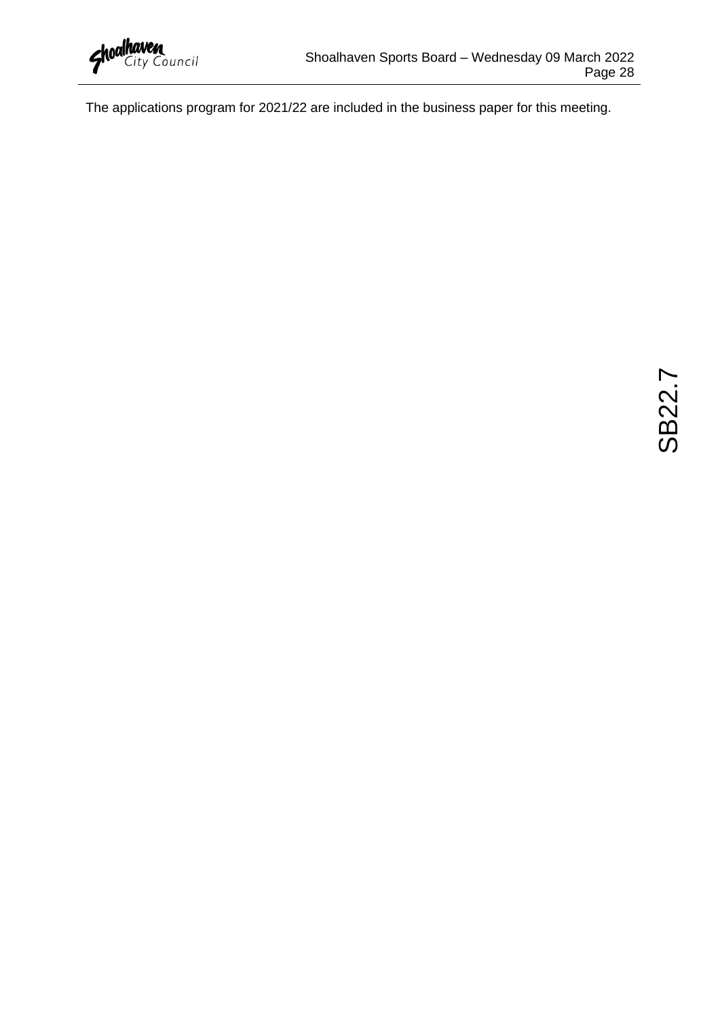The applications program for 2021/22 are included in the business paper for this meeting.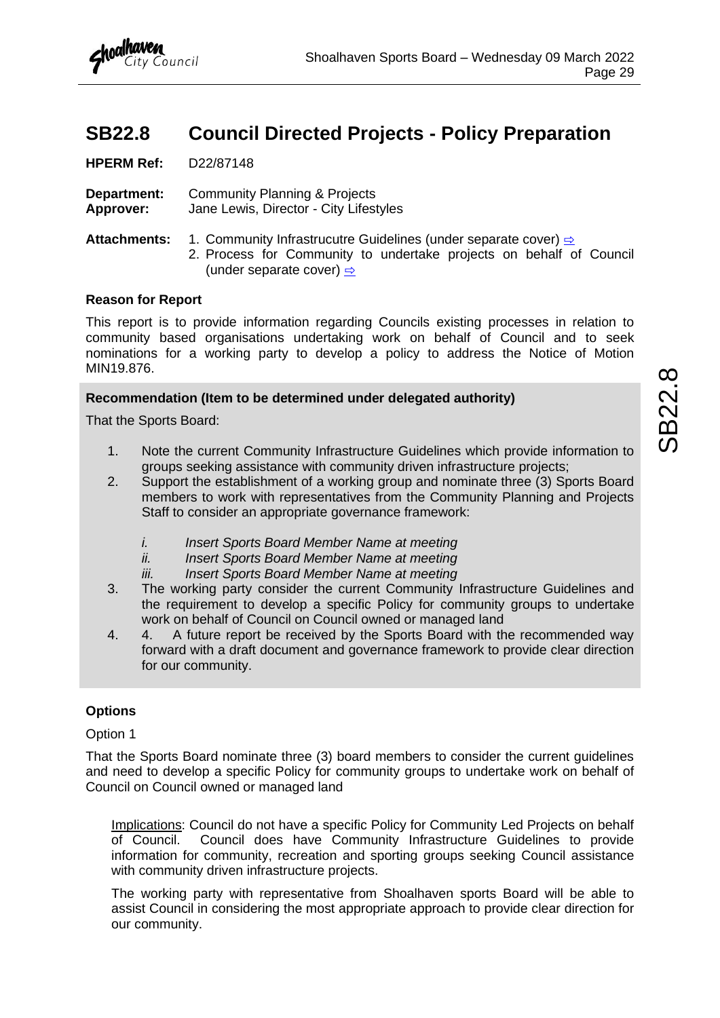### <span id="page-30-0"></span>**SB22.8 Council Directed Projects - Policy Preparation**

**HPERM Ref:** D22/87148

**Department:** Community Planning & Projects **Approver:** Jane Lewis, Director - City Lifestyles

**Attachments:** 1. Community Infrastrucutre Guidelines (under separate cover) **[⇨](../../../RedirectToInvalidFileName.aspx?FileName=SB_20220309_ATT_17519_EXCLUDED.PDF#PAGE=8)** 

2. Process for Community to undertake projects on behalf of Council (under separate cover)  $\Rightarrow$ 

#### **Reason for Report**

This report is to provide information regarding Councils existing processes in relation to community based organisations undertaking work on behalf of Council and to seek nominations for a working party to develop a policy to address the Notice of Motion MIN19.876.

#### **Recommendation (Item to be determined under delegated authority)**

That the Sports Board:

- 1. Note the current Community Infrastructure Guidelines which provide information to groups seeking assistance with community driven infrastructure projects;
- 2. Support the establishment of a working group and nominate three (3) Sports Board members to work with representatives from the Community Planning and Projects Staff to consider an appropriate governance framework:
	- *i. Insert Sports Board Member Name at meeting*
	- *ii. Insert Sports Board Member Name at meeting*
	- *iii. Insert Sports Board Member Name at meeting*
- 3. The working party consider the current Community Infrastructure Guidelines and the requirement to develop a specific Policy for community groups to undertake work on behalf of Council on Council owned or managed land
- 4. 4. A future report be received by the Sports Board with the recommended way forward with a draft document and governance framework to provide clear direction for our community.

#### **Options**

Option 1

That the Sports Board nominate three (3) board members to consider the current guidelines and need to develop a specific Policy for community groups to undertake work on behalf of Council on Council owned or managed land

Implications: Council do not have a specific Policy for Community Led Projects on behalf of Council. Council does have Community Infrastructure Guidelines to provide information for community, recreation and sporting groups seeking Council assistance with community driven infrastructure projects.

The working party with representative from Shoalhaven sports Board will be able to assist Council in considering the most appropriate approach to provide clear direction for our community.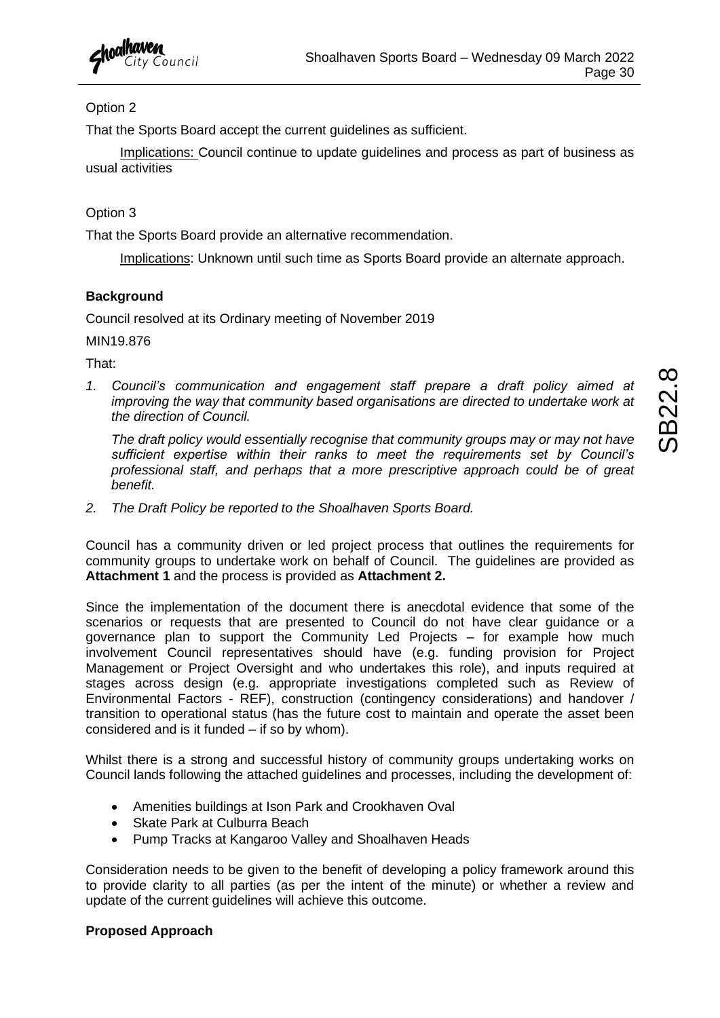

#### Option 2

That the Sports Board accept the current guidelines as sufficient.

Implications: Council continue to update guidelines and process as part of business as usual activities

#### Option 3

That the Sports Board provide an alternative recommendation.

Implications: Unknown until such time as Sports Board provide an alternate approach.

#### **Background**

Council resolved at its Ordinary meeting of November 2019

MIN19.876

That:

*1. Council's communication and engagement staff prepare a draft policy aimed at improving the way that community based organisations are directed to undertake work at the direction of Council.* 

*The draft policy would essentially recognise that community groups may or may not have sufficient expertise within their ranks to meet the requirements set by Council's professional staff, and perhaps that a more prescriptive approach could be of great benefit.*

*2. The Draft Policy be reported to the Shoalhaven Sports Board.*

Council has a community driven or led project process that outlines the requirements for community groups to undertake work on behalf of Council. The guidelines are provided as **Attachment 1** and the process is provided as **Attachment 2.** 

Since the implementation of the document there is anecdotal evidence that some of the scenarios or requests that are presented to Council do not have clear guidance or a governance plan to support the Community Led Projects – for example how much involvement Council representatives should have (e.g. funding provision for Project Management or Project Oversight and who undertakes this role), and inputs required at stages across design (e.g. appropriate investigations completed such as Review of Environmental Factors - REF), construction (contingency considerations) and handover / transition to operational status (has the future cost to maintain and operate the asset been considered and is it funded – if so by whom).

Whilst there is a strong and successful history of community groups undertaking works on Council lands following the attached guidelines and processes, including the development of:

- Amenities buildings at Ison Park and Crookhaven Oval
- Skate Park at Culburra Beach
- Pump Tracks at Kangaroo Valley and Shoalhaven Heads

Consideration needs to be given to the benefit of developing a policy framework around this to provide clarity to all parties (as per the intent of the minute) or whether a review and update of the current guidelines will achieve this outcome.

#### **Proposed Approach**